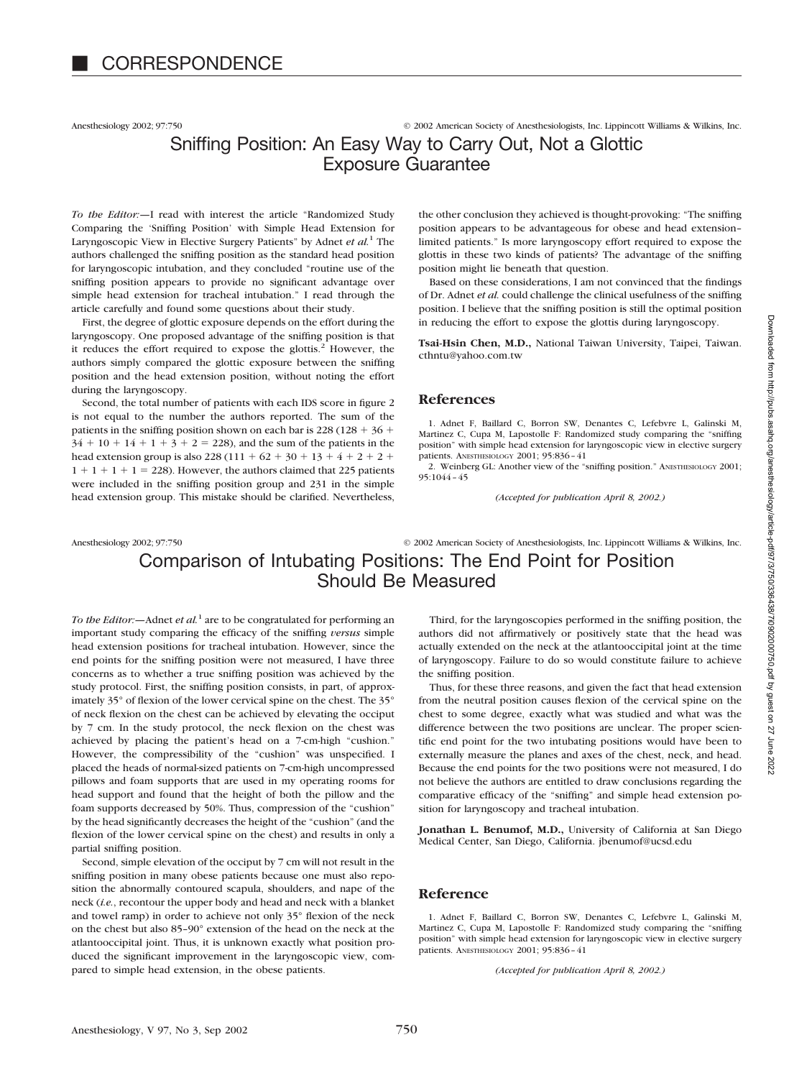Anesthesiology 2002; 97:750 © 2002 American Society of Anesthesiologists, Inc. Lippincott Williams & Wilkins, Inc.

# Sniffing Position: An Easy Way to Carry Out, Not a Glottic Exposure Guarantee

*To the Editor:—*I read with interest the article "Randomized Study Comparing the 'Sniffing Position' with Simple Head Extension for Laryngoscopic View in Elective Surgery Patients" by Adnet *et al.*<sup>1</sup> The authors challenged the sniffing position as the standard head position for laryngoscopic intubation, and they concluded "routine use of the sniffing position appears to provide no significant advantage over simple head extension for tracheal intubation." I read through the article carefully and found some questions about their study.

First, the degree of glottic exposure depends on the effort during the laryngoscopy. One proposed advantage of the sniffing position is that it reduces the effort required to expose the glottis. $2$  However, the authors simply compared the glottic exposure between the sniffing position and the head extension position, without noting the effort during the laryngoscopy.

Second, the total number of patients with each IDS score in figure 2 is not equal to the number the authors reported. The sum of the patients in the sniffing position shown on each bar is  $228 (128 + 36 +$  $34 + 10 + 14 + 1 + 3 + 2 = 228$ , and the sum of the patients in the head extension group is also  $228(111 + 62 + 30 + 13 + 4 + 2 + 2 +$  $1 + 1 + 1 + 1 = 228$ . However, the authors claimed that 225 patients were included in the sniffing position group and 231 in the simple head extension group. This mistake should be clarified. Nevertheless,

the other conclusion they achieved is thought-provoking: "The sniffing position appears to be advantageous for obese and head extension– limited patients." Is more laryngoscopy effort required to expose the glottis in these two kinds of patients? The advantage of the sniffing position might lie beneath that question.

Based on these considerations, I am not convinced that the findings of Dr. Adnet *et al.* could challenge the clinical usefulness of the sniffing position. I believe that the sniffing position is still the optimal position in reducing the effort to expose the glottis during laryngoscopy.

**Tsai-Hsin Chen, M.D.,** National Taiwan University, Taipei, Taiwan. cthntu@yahoo.com.tw

#### **References**

1. Adnet F, Baillard C, Borron SW, Denantes C, Lefebvre L, Galinski M, Martinez C, Cupa M, Lapostolle F: Randomized study comparing the "sniffing position" with simple head extension for laryngoscopic view in elective surgery patients. ANESTHESIOLOGY 2001; 95:836–41

2. Weinberg GL: Another view of the "sniffing position." ANESTHESIOLOGY 2001; 95:1044–45

*(Accepted for publication April 8, 2002.)*

## Anesthesiology 2002; 97:750 © 2002 American Society of Anesthesiologists, Inc. Lippincott Williams & Wilkins, Inc. Comparison of Intubating Positions: The End Point for Position Should Be Measured

*To the Editor:*—Adnet *et al.*<sup>1</sup> are to be congratulated for performing an important study comparing the efficacy of the sniffing *versus* simple head extension positions for tracheal intubation. However, since the end points for the sniffing position were not measured, I have three concerns as to whether a true sniffing position was achieved by the study protocol. First, the sniffing position consists, in part, of approximately 35° of flexion of the lower cervical spine on the chest. The 35° of neck flexion on the chest can be achieved by elevating the occiput by 7 cm. In the study protocol, the neck flexion on the chest was achieved by placing the patient's head on a 7-cm-high "cushion." However, the compressibility of the "cushion" was unspecified. I placed the heads of normal-sized patients on 7-cm-high uncompressed pillows and foam supports that are used in my operating rooms for head support and found that the height of both the pillow and the foam supports decreased by 50%. Thus, compression of the "cushion" by the head significantly decreases the height of the "cushion" (and the flexion of the lower cervical spine on the chest) and results in only a partial sniffing position.

Second, simple elevation of the occiput by 7 cm will not result in the sniffing position in many obese patients because one must also reposition the abnormally contoured scapula, shoulders, and nape of the neck (*i.e.*, recontour the upper body and head and neck with a blanket and towel ramp) in order to achieve not only 35° flexion of the neck on the chest but also 85–90° extension of the head on the neck at the atlantooccipital joint. Thus, it is unknown exactly what position produced the significant improvement in the laryngoscopic view, compared to simple head extension, in the obese patients.

Third, for the laryngoscopies performed in the sniffing position, the authors did not affirmatively or positively state that the head was actually extended on the neck at the atlantooccipital joint at the time of laryngoscopy. Failure to do so would constitute failure to achieve the sniffing position.

Thus, for these three reasons, and given the fact that head extension from the neutral position causes flexion of the cervical spine on the chest to some degree, exactly what was studied and what was the difference between the two positions are unclear. The proper scientific end point for the two intubating positions would have been to externally measure the planes and axes of the chest, neck, and head. Because the end points for the two positions were not measured, I do not believe the authors are entitled to draw conclusions regarding the comparative efficacy of the "sniffing" and simple head extension position for laryngoscopy and tracheal intubation.

**Jonathan L. Benumof, M.D.,** University of California at San Diego Medical Center, San Diego, California. jbenumof@ucsd.edu

### **Reference**

1. Adnet F, Baillard C, Borron SW, Denantes C, Lefebvre L, Galinski M, Martinez C, Cupa M, Lapostolle F: Randomized study comparing the "sniffing position" with simple head extension for laryngoscopic view in elective surgery patients. ANESTHESIOLOGY 2001; 95:836–41

*(Accepted for publication April 8, 2002.)*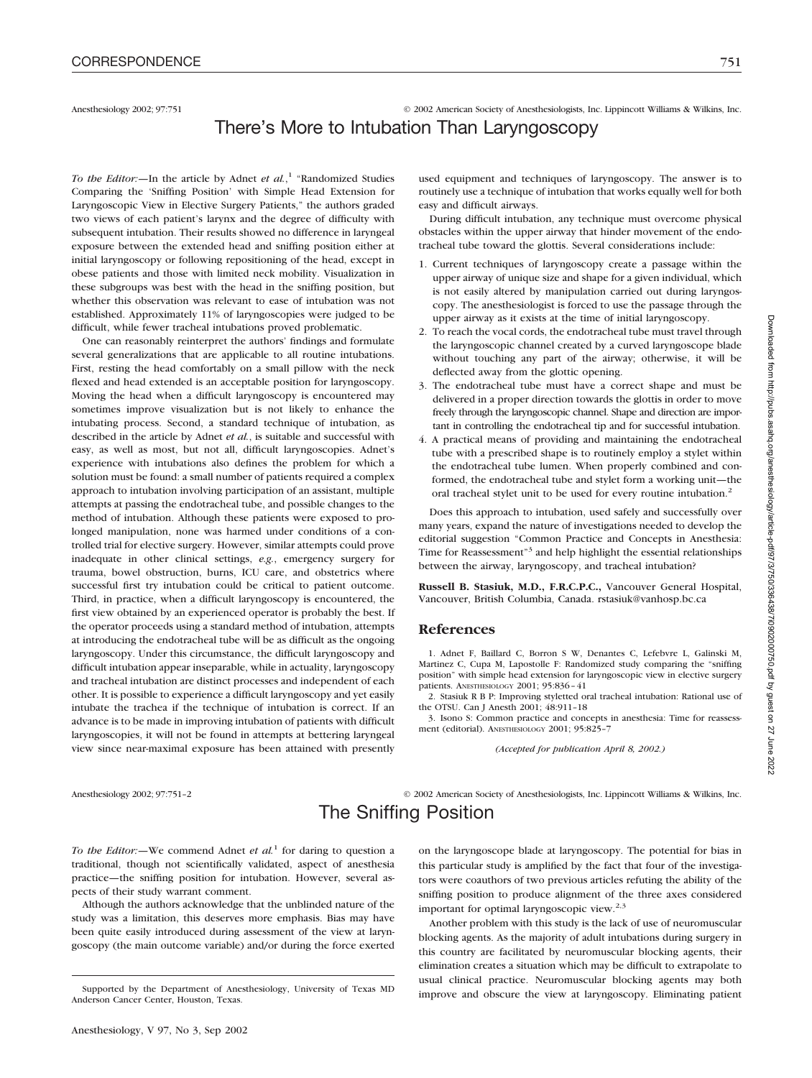Anesthesiology 2002; 97:751 © 2002 American Society of Anesthesiologists, Inc. Lippincott Williams & Wilkins, Inc. There's More to Intubation Than Laryngoscopy

#### *To the Editor:—*In the article by Adnet *et al.*, <sup>1</sup> "Randomized Studies Comparing the 'Sniffing Position' with Simple Head Extension for Laryngoscopic View in Elective Surgery Patients," the authors graded two views of each patient's larynx and the degree of difficulty with subsequent intubation. Their results showed no difference in laryngeal exposure between the extended head and sniffing position either at initial laryngoscopy or following repositioning of the head, except in obese patients and those with limited neck mobility. Visualization in these subgroups was best with the head in the sniffing position, but whether this observation was relevant to ease of intubation was not established. Approximately 11% of laryngoscopies were judged to be difficult, while fewer tracheal intubations proved problematic.

One can reasonably reinterpret the authors' findings and formulate several generalizations that are applicable to all routine intubations. First, resting the head comfortably on a small pillow with the neck flexed and head extended is an acceptable position for laryngoscopy. Moving the head when a difficult laryngoscopy is encountered may sometimes improve visualization but is not likely to enhance the intubating process. Second, a standard technique of intubation, as described in the article by Adnet *et al.*, is suitable and successful with easy, as well as most, but not all, difficult laryngoscopies. Adnet's experience with intubations also defines the problem for which a solution must be found: a small number of patients required a complex approach to intubation involving participation of an assistant, multiple attempts at passing the endotracheal tube, and possible changes to the method of intubation. Although these patients were exposed to prolonged manipulation, none was harmed under conditions of a controlled trial for elective surgery. However, similar attempts could prove inadequate in other clinical settings, *e.g.*, emergency surgery for trauma, bowel obstruction, burns, ICU care, and obstetrics where successful first try intubation could be critical to patient outcome. Third, in practice, when a difficult laryngoscopy is encountered, the first view obtained by an experienced operator is probably the best. If the operator proceeds using a standard method of intubation, attempts at introducing the endotracheal tube will be as difficult as the ongoing laryngoscopy. Under this circumstance, the difficult laryngoscopy and difficult intubation appear inseparable, while in actuality, laryngoscopy and tracheal intubation are distinct processes and independent of each other. It is possible to experience a difficult laryngoscopy and yet easily intubate the trachea if the technique of intubation is correct. If an advance is to be made in improving intubation of patients with difficult laryngoscopies, it will not be found in attempts at bettering laryngeal view since near-maximal exposure has been attained with presently

used equipment and techniques of laryngoscopy. The answer is to routinely use a technique of intubation that works equally well for both easy and difficult airways.

During difficult intubation, any technique must overcome physical obstacles within the upper airway that hinder movement of the endotracheal tube toward the glottis. Several considerations include:

- 1. Current techniques of laryngoscopy create a passage within the upper airway of unique size and shape for a given individual, which is not easily altered by manipulation carried out during laryngoscopy. The anesthesiologist is forced to use the passage through the upper airway as it exists at the time of initial laryngoscopy.
- 2. To reach the vocal cords, the endotracheal tube must travel through the laryngoscopic channel created by a curved laryngoscope blade without touching any part of the airway; otherwise, it will be deflected away from the glottic opening.
- 3. The endotracheal tube must have a correct shape and must be delivered in a proper direction towards the glottis in order to move freely through the laryngoscopic channel. Shape and direction are important in controlling the endotracheal tip and for successful intubation.
- 4. A practical means of providing and maintaining the endotracheal tube with a prescribed shape is to routinely employ a stylet within the endotracheal tube lumen. When properly combined and conformed, the endotracheal tube and stylet form a working unit—the oral tracheal stylet unit to be used for every routine intubation.<sup>2</sup>

Does this approach to intubation, used safely and successfully over many years, expand the nature of investigations needed to develop the editorial suggestion "Common Practice and Concepts in Anesthesia: Time for Reassessment"<sup>3</sup> and help highlight the essential relationships between the airway, laryngoscopy, and tracheal intubation?

**Russell B. Stasiuk, M.D., F.R.C.P.C.,** Vancouver General Hospital, Vancouver, British Columbia, Canada. rstasiuk@vanhosp.bc.ca

### **References**

1. Adnet F, Baillard C, Borron S W, Denantes C, Lefebvre L, Galinski M, Martinez C, Cupa M, Lapostolle F: Randomized study comparing the "sniffing position" with simple head extension for laryngoscopic view in elective surgery patients. ANESTHESIOLOGY 2001; 95:836–41

2. Stasiuk R B P: Improving styletted oral tracheal intubation: Rational use of the OTSU. Can J Anesth 2001; 48:911–18

3. Isono S: Common practice and concepts in anesthesia: Time for reassessment (editorial). ANESTHESIOLOGY 2001; 95:825–7

*(Accepted for publication April 8, 2002.)*

Anesthesiology 2002; 97:751–2 © 2002 American Society of Anesthesiologists, Inc. Lippincott Williams & Wilkins, Inc. The Sniffing Position

*To the Editor:*—We commend Adnet *et al.*<sup>1</sup> for daring to question a traditional, though not scientifically validated, aspect of anesthesia practice—the sniffing position for intubation. However, several aspects of their study warrant comment.

Although the authors acknowledge that the unblinded nature of the study was a limitation, this deserves more emphasis. Bias may have been quite easily introduced during assessment of the view at laryngoscopy (the main outcome variable) and/or during the force exerted on the laryngoscope blade at laryngoscopy. The potential for bias in this particular study is amplified by the fact that four of the investigators were coauthors of two previous articles refuting the ability of the sniffing position to produce alignment of the three axes considered important for optimal laryngoscopic view.<sup>2,3</sup>

Another problem with this study is the lack of use of neuromuscular blocking agents. As the majority of adult intubations during surgery in this country are facilitated by neuromuscular blocking agents, their elimination creates a situation which may be difficult to extrapolate to usual clinical practice. Neuromuscular blocking agents may both Supported by the Department of Anesthesiology, University of Texas MD improve and obscure the view at laryngoscopy. Eliminating patient

Anderson Cancer Center, Houston, Texas.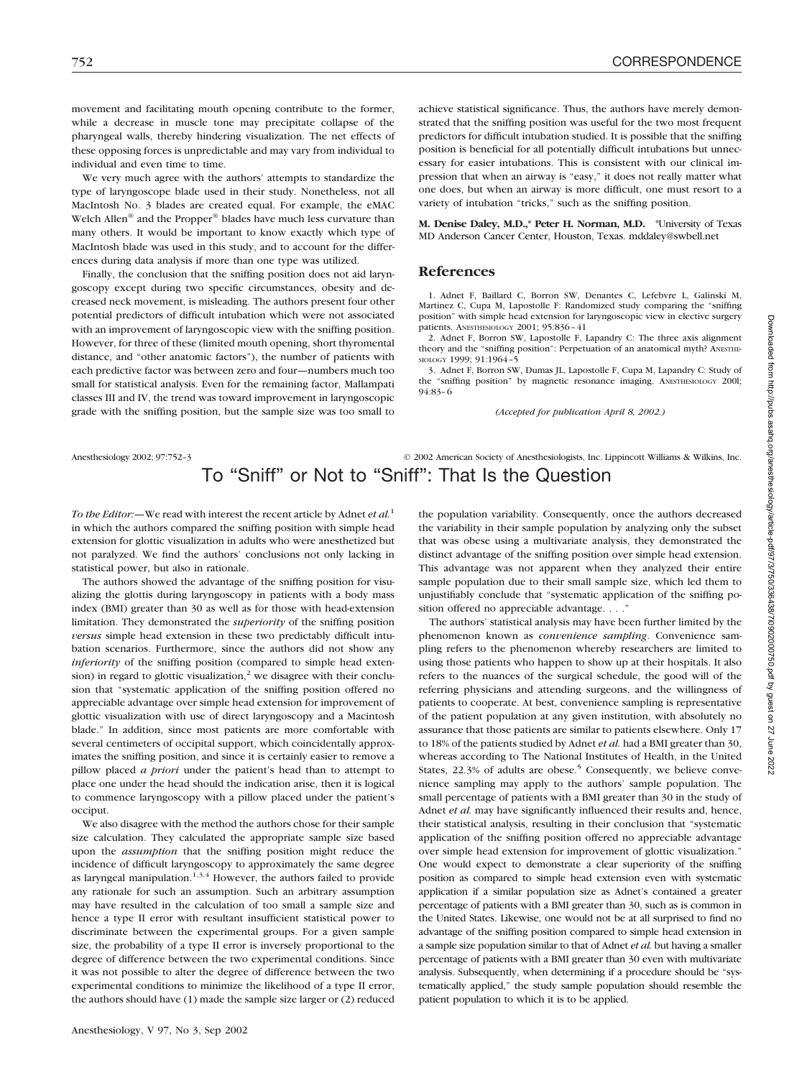movement and facilitating mouth opening contribute to the former, while a decrease in muscle tone may precipitate collapse of the pharyngeal walls, thereby hindering visualization. The net effects of these opposing forces is unpredictable and may vary from individual to individual and even time to time.

We very much agree with the authors' attempts to standardize the type of laryngoscope blade used in their study. Nonetheless, not all MacIntosh No. 3 blades are created equal. For example, the eMAC Welch Allen<sup>®</sup> and the Propper<sup>®</sup> blades have much less curvature than many others. It would be important to know exactly which type of MacIntosh blade was used in this study, and to account for the differences during data analysis if more than one type was utilized.

Finally, the conclusion that the sniffing position does not aid laryngoscopy except during two specific circumstances, obesity and decreased neck movement, is misleading. The authors present four other potential predictors of difficult intubation which were not associated with an improvement of laryngoscopic view with the sniffing position. However, for three of these (limited mouth opening, short thyromental distance, and "other anatomic factors"), the number of patients with each predictive factor was between zero and four—numbers much too small for statistical analysis. Even for the remaining factor, Mallampati classes III and IV, the trend was toward improvement in laryngoscopic grade with the sniffing position, but the sample size was too small to

achieve statistical significance. Thus, the authors have merely demonstrated that the sniffing position was useful for the two most frequent predictors for difficult intubation studied. It is possible that the sniffing position is beneficial for all potentially difficult intubations but unnecessary for easier intubations. This is consistent with our clinical impression that when an airway is "easy," it does not really matter what one does, but when an airway is more difficult, one must resort to a variety of intubation "tricks," such as the sniffing position.

**M. Denise Daley, M.D.,\* Peter H. Norman, M.D.** \*University of Texas MD Anderson Cancer Center, Houston, Texas. mddaley@swbell.net

### **References**

1. Adnet F, Baillard C, Borron SW, Denantes C, Lefebvre L, Galinski M, Martinez C, Cupa M, Lapostolle F: Randomized study comparing the "sniffing position" with simple head extension for laryngoscopic view in elective surgery patients. ANESTHESIOLOGY 2001; 95:836–41

2. Adnet F, Borron SW, Lapostolle F, Lapandry C: The three axis alignment theory and the "sniffing position": Perpetuation of an anatomical myth? ANESTHE-SIOLOGY 1999; 91:1964–5

3. Adnet F, Borron SW, Dumas JL, Lapostolle F, Cupa M, Lapandry C: Study of the "sniffing position" by magnetic resonance imaging. ANESTHESIOLOGY 200l; 94:83–6

*(Accepted for publication April 8, 2002.)*

## Anesthesiology 2002; 97:752-3 <sup>©</sup> 2002 American Society of Anesthesiologists, Inc. Lippincott Williams & Wilkins, Inc. To "Sniff" or Not to "Sniff": That Is the Question

*To the Editor:—*We read with interest the recent article by Adnet *et al.*<sup>1</sup> in which the authors compared the sniffing position with simple head extension for glottic visualization in adults who were anesthetized but not paralyzed. We find the authors' conclusions not only lacking in statistical power, but also in rationale.

The authors showed the advantage of the sniffing position for visualizing the glottis during laryngoscopy in patients with a body mass index (BMI) greater than 30 as well as for those with head-extension limitation. They demonstrated the *superiority* of the sniffing position *versus* simple head extension in these two predictably difficult intubation scenarios. Furthermore, since the authors did not show any *inferiority* of the sniffing position (compared to simple head extension) in regard to glottic visualization,<sup>2</sup> we disagree with their conclusion that "systematic application of the sniffing position offered no appreciable advantage over simple head extension for improvement of glottic visualization with use of direct laryngoscopy and a Macintosh blade." In addition, since most patients are more comfortable with several centimeters of occipital support, which coincidentally approximates the sniffing position, and since it is certainly easier to remove a pillow placed *a priori* under the patient's head than to attempt to place one under the head should the indication arise, then it is logical to commence laryngoscopy with a pillow placed under the patient's occiput.

We also disagree with the method the authors chose for their sample size calculation. They calculated the appropriate sample size based upon the *assumption* that the sniffing position might reduce the incidence of difficult laryngoscopy to approximately the same degree as laryngeal manipulation.<sup>1,3,4</sup> However, the authors failed to provide any rationale for such an assumption. Such an arbitrary assumption may have resulted in the calculation of too small a sample size and hence a type II error with resultant insufficient statistical power to discriminate between the experimental groups. For a given sample size, the probability of a type II error is inversely proportional to the degree of difference between the two experimental conditions. Since it was not possible to alter the degree of difference between the two experimental conditions to minimize the likelihood of a type II error, the authors should have (1) made the sample size larger or (2) reduced the population variability. Consequently, once the authors decreased the variability in their sample population by analyzing only the subset that was obese using a multivariate analysis, they demonstrated the distinct advantage of the sniffing position over simple head extension. This advantage was not apparent when they analyzed their entire sample population due to their small sample size, which led them to unjustifiably conclude that "systematic application of the sniffing position offered no appreciable advantage...."

The authors' statistical analysis may have been further limited by the phenomenon known as *convenience sampling*. Convenience sampling refers to the phenomenon whereby researchers are limited to using those patients who happen to show up at their hospitals. It also refers to the nuances of the surgical schedule, the good will of the referring physicians and attending surgeons, and the willingness of patients to cooperate. At best, convenience sampling is representative of the patient population at any given institution, with absolutely no assurance that those patients are similar to patients elsewhere. Only 17 to 18% of the patients studied by Adnet *et al.* had a BMI greater than 30, whereas according to The National Institutes of Health, in the United States,  $22.3\%$  of adults are obese.<sup>5</sup> Consequently, we believe convenience sampling may apply to the authors' sample population. The small percentage of patients with a BMI greater than 30 in the study of Adnet *et al.* may have significantly influenced their results and, hence, their statistical analysis, resulting in their conclusion that "systematic application of the sniffing position offered no appreciable advantage over simple head extension for improvement of glottic visualization." One would expect to demonstrate a clear superiority of the sniffing position as compared to simple head extension even with systematic application if a similar population size as Adnet's contained a greater percentage of patients with a BMI greater than 30, such as is common in the United States. Likewise, one would not be at all surprised to find no advantage of the sniffing position compared to simple head extension in a sample size population similar to that of Adnet *et al.* but having a smaller percentage of patients with a BMI greater than 30 even with multivariate analysis. Subsequently, when determining if a procedure should be "systematically applied," the study sample population should resemble the patient population to which it is to be applied.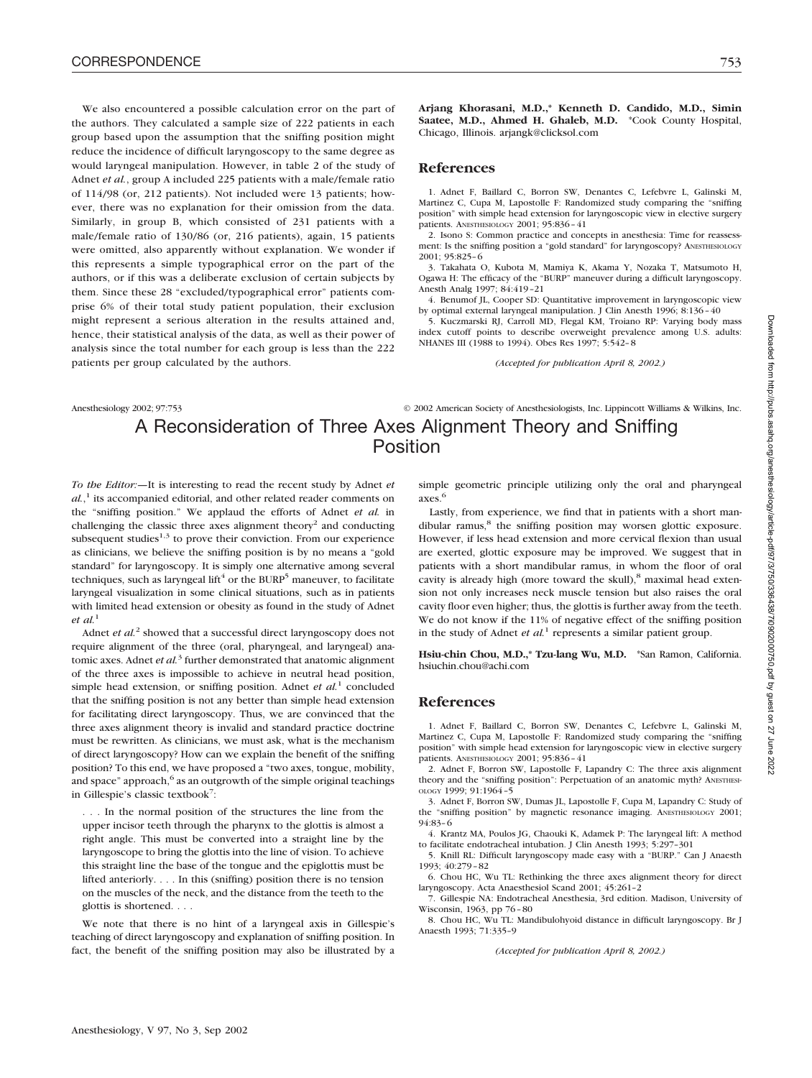We also encountered a possible calculation error on the part of the authors. They calculated a sample size of 222 patients in each group based upon the assumption that the sniffing position might reduce the incidence of difficult laryngoscopy to the same degree as would laryngeal manipulation. However, in table 2 of the study of Adnet *et al.*, group A included 225 patients with a male/female ratio of 114/98 (or, 212 patients). Not included were 13 patients; however, there was no explanation for their omission from the data. Similarly, in group B, which consisted of 231 patients with a male/female ratio of 130/86 (or, 216 patients), again, 15 patients were omitted, also apparently without explanation. We wonder if this represents a simple typographical error on the part of the authors, or if this was a deliberate exclusion of certain subjects by them. Since these 28 "excluded/typographical error" patients comprise 6% of their total study patient population, their exclusion might represent a serious alteration in the results attained and, hence, their statistical analysis of the data, as well as their power of analysis since the total number for each group is less than the 222 patients per group calculated by the authors.

**Arjang Khorasani, M.D.,\* Kenneth D. Candido, M.D., Simin Saatee, M.D., Ahmed H. Ghaleb, M.D.** \*Cook County Hospital, Chicago, Illinois. arjangk@clicksol.com

### **References**

1. Adnet F, Baillard C, Borron SW, Denantes C, Lefebvre L, Galinski M, Martinez C, Cupa M, Lapostolle F: Randomized study comparing the "sniffing position" with simple head extension for laryngoscopic view in elective surgery patients. ANESTHESIOLOGY 2001; 95:836–41

2. Isono S: Common practice and concepts in anesthesia: Time for reassessment: Is the sniffing position a "gold standard" for laryngoscopy? ANESTHESIOLOGY 2001; 95:825–6

3. Takahata O, Kubota M, Mamiya K, Akama Y, Nozaka T, Matsumoto H, Ogawa H: The efficacy of the "BURP" maneuver during a difficult laryngoscopy. Anesth Analg 1997; 84:419–21

4. Benumof JL, Cooper SD: Quantitative improvement in laryngoscopic view by optimal external laryngeal manipulation. J Clin Anesth 1996; 8:136–40

5. Kuczmarski RJ, Carroll MD, Flegal KM, Troiano RP: Varying body mass index cutoff points to describe overweight prevalence among U.S. adults: NHANES III (1988 to 1994). Obes Res 1997; 5:542–8

*(Accepted for publication April 8, 2002.)*

Anesthesiology 2002; 97:753 © 2002 American Society of Anesthesiologists, Inc. Lippincott Williams & Wilkins, Inc.

# A Reconsideration of Three Axes Alignment Theory and Sniffing Position

*To the Editor:—*It is interesting to read the recent study by Adnet *et al.*, <sup>1</sup> its accompanied editorial, and other related reader comments on the "sniffing position." We applaud the efforts of Adnet *et al.* in challenging the classic three axes alignment theory<sup>2</sup> and conducting subsequent studies $^{1,3}$  to prove their conviction. From our experience as clinicians, we believe the sniffing position is by no means a "gold standard" for laryngoscopy. It is simply one alternative among several techniques, such as laryngeal lift<sup>4</sup> or the BURP<sup>5</sup> maneuver, to facilitate laryngeal visualization in some clinical situations, such as in patients with limited head extension or obesity as found in the study of Adnet *et al.*<sup>1</sup>

Adnet *et al.*<sup>2</sup> showed that a successful direct laryngoscopy does not require alignment of the three (oral, pharyngeal, and laryngeal) anatomic axes. Adnet *et al.*<sup>3</sup> further demonstrated that anatomic alignment of the three axes is impossible to achieve in neutral head position, simple head extension, or sniffing position. Adnet *et al.*<sup>1</sup> concluded that the sniffing position is not any better than simple head extension for facilitating direct laryngoscopy. Thus, we are convinced that the three axes alignment theory is invalid and standard practice doctrine must be rewritten. As clinicians, we must ask, what is the mechanism of direct laryngoscopy? How can we explain the benefit of the sniffing position? To this end, we have proposed a "two axes, tongue, mobility, and space" approach,<sup>6</sup> as an outgrowth of the simple original teachings in Gillespie's classic textbook<sup>7</sup>:

. . . In the normal position of the structures the line from the upper incisor teeth through the pharynx to the glottis is almost a right angle. This must be converted into a straight line by the laryngoscope to bring the glottis into the line of vision. To achieve this straight line the base of the tongue and the epiglottis must be lifted anteriorly. . . . In this (sniffing) position there is no tension on the muscles of the neck, and the distance from the teeth to the glottis is shortened....

We note that there is no hint of a laryngeal axis in Gillespie's teaching of direct laryngoscopy and explanation of sniffing position. In fact, the benefit of the sniffing position may also be illustrated by a

simple geometric principle utilizing only the oral and pharyngeal axes.6

Lastly, from experience, we find that in patients with a short mandibular ramus,<sup>8</sup> the sniffing position may worsen glottic exposure. However, if less head extension and more cervical flexion than usual are exerted, glottic exposure may be improved. We suggest that in patients with a short mandibular ramus, in whom the floor of oral cavity is already high (more toward the skull),<sup>8</sup> maximal head extension not only increases neck muscle tension but also raises the oral cavity floor even higher; thus, the glottis is further away from the teeth. We do not know if the 11% of negative effect of the sniffing position in the study of Adnet *et al.*<sup>1</sup> represents a similar patient group.

**Hsiu-chin Chou, M.D.,\* Tzu-lang Wu, M.D.** \*San Ramon, California. hsiuchin.chou@achi.com

#### **References**

1. Adnet F, Baillard C, Borron SW, Denantes C, Lefebvre L, Galinski M, Martinez C, Cupa M, Lapostolle F: Randomized study comparing the "sniffing position" with simple head extension for laryngoscopic view in elective surgery patients. ANESTHESIOLOGY 2001; 95:836–41

2. Adnet F, Borron SW, Lapostolle F, Lapandry C: The three axis alignment theory and the "sniffing position": Perpetuation of an anatomic myth? ANESTHESI- $OLOGY$  1999: 91:1964-5

3. Adnet F, Borron SW, Dumas JL, Lapostolle F, Cupa M, Lapandry C: Study of the "sniffing position" by magnetic resonance imaging. ANESTHESIOLOGY 2001; 94:83–6

4. Krantz MA, Poulos JG, Chaouki K, Adamek P: The laryngeal lift: A method to facilitate endotracheal intubation. J Clin Anesth 1993; 5:297–301

5. Knill RL: Difficult laryngoscopy made easy with a "BURP." Can J Anaesth 1993; 40:279–82

6. Chou HC, Wu TL: Rethinking the three axes alignment theory for direct laryngoscopy. Acta Anaesthesiol Scand 2001; 45:261–2

7. Gillespie NA: Endotracheal Anesthesia, 3rd edition. Madison, University of Wisconsin, 1963, pp 76–80

8. Chou HC, Wu TL: Mandibulohyoid distance in difficult laryngoscopy. Br J Anaesth 1993; 71:335–9

*(Accepted for publication April 8, 2002.)*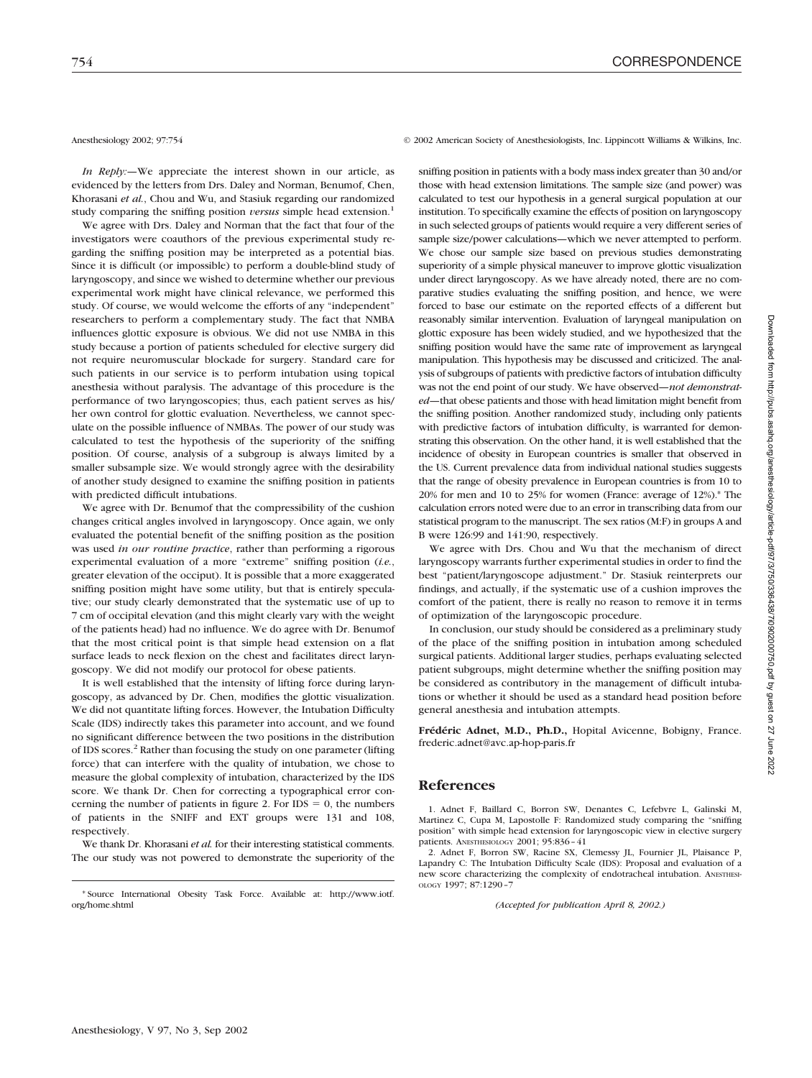*In Reply:—*We appreciate the interest shown in our article, as evidenced by the letters from Drs. Daley and Norman, Benumof, Chen, Khorasani *et al.*, Chou and Wu, and Stasiuk regarding our randomized study comparing the sniffing position *versus* simple head extension.<sup>1</sup>

We agree with Drs. Daley and Norman that the fact that four of the investigators were coauthors of the previous experimental study regarding the sniffing position may be interpreted as a potential bias. Since it is difficult (or impossible) to perform a double-blind study of laryngoscopy, and since we wished to determine whether our previous experimental work might have clinical relevance, we performed this study. Of course, we would welcome the efforts of any "independent" researchers to perform a complementary study. The fact that NMBA influences glottic exposure is obvious. We did not use NMBA in this study because a portion of patients scheduled for elective surgery did not require neuromuscular blockade for surgery. Standard care for such patients in our service is to perform intubation using topical anesthesia without paralysis. The advantage of this procedure is the performance of two laryngoscopies; thus, each patient serves as his/ her own control for glottic evaluation. Nevertheless, we cannot speculate on the possible influence of NMBAs. The power of our study was calculated to test the hypothesis of the superiority of the sniffing position. Of course, analysis of a subgroup is always limited by a smaller subsample size. We would strongly agree with the desirability of another study designed to examine the sniffing position in patients with predicted difficult intubations.

We agree with Dr. Benumof that the compressibility of the cushion changes critical angles involved in laryngoscopy. Once again, we only evaluated the potential benefit of the sniffing position as the position was used *in our routine practice*, rather than performing a rigorous experimental evaluation of a more "extreme" sniffing position (*i.e.*, greater elevation of the occiput). It is possible that a more exaggerated sniffing position might have some utility, but that is entirely speculative; our study clearly demonstrated that the systematic use of up to 7 cm of occipital elevation (and this might clearly vary with the weight of the patients head) had no influence. We do agree with Dr. Benumof that the most critical point is that simple head extension on a flat surface leads to neck flexion on the chest and facilitates direct laryngoscopy. We did not modify our protocol for obese patients.

It is well established that the intensity of lifting force during laryngoscopy, as advanced by Dr. Chen, modifies the glottic visualization. We did not quantitate lifting forces. However, the Intubation Difficulty Scale (IDS) indirectly takes this parameter into account, and we found no significant difference between the two positions in the distribution of IDS scores.<sup>2</sup> Rather than focusing the study on one parameter (lifting force) that can interfere with the quality of intubation, we chose to measure the global complexity of intubation, characterized by the IDS score. We thank Dr. Chen for correcting a typographical error concerning the number of patients in figure 2. For  $IDS = 0$ , the numbers of patients in the SNIFF and EXT groups were 131 and 108, respectively.

We thank Dr. Khorasani *et al.* for their interesting statistical comments. The our study was not powered to demonstrate the superiority of the

Anesthesiology 2002; 97:754 © 2002 American Society of Anesthesiologists, Inc. Lippincott Williams & Wilkins, Inc.

sniffing position in patients with a body mass index greater than 30 and/or those with head extension limitations. The sample size (and power) was calculated to test our hypothesis in a general surgical population at our institution. To specifically examine the effects of position on laryngoscopy in such selected groups of patients would require a very different series of sample size/power calculations—which we never attempted to perform. We chose our sample size based on previous studies demonstrating superiority of a simple physical maneuver to improve glottic visualization under direct laryngoscopy. As we have already noted, there are no comparative studies evaluating the sniffing position, and hence, we were forced to base our estimate on the reported effects of a different but reasonably similar intervention. Evaluation of laryngeal manipulation on glottic exposure has been widely studied, and we hypothesized that the sniffing position would have the same rate of improvement as laryngeal manipulation. This hypothesis may be discussed and criticized. The analysis of subgroups of patients with predictive factors of intubation difficulty was not the end point of our study. We have observed—*not demonstrated*—that obese patients and those with head limitation might benefit from the sniffing position. Another randomized study, including only patients with predictive factors of intubation difficulty, is warranted for demonstrating this observation. On the other hand, it is well established that the incidence of obesity in European countries is smaller that observed in the US. Current prevalence data from individual national studies suggests that the range of obesity prevalence in European countries is from 10 to 20% for men and 10 to 25% for women (France: average of 12%).\* The calculation errors noted were due to an error in transcribing data from our statistical program to the manuscript. The sex ratios (M:F) in groups A and B were 126:99 and 141:90, respectively.

We agree with Drs. Chou and Wu that the mechanism of direct laryngoscopy warrants further experimental studies in order to find the best "patient/laryngoscope adjustment." Dr. Stasiuk reinterprets our findings, and actually, if the systematic use of a cushion improves the comfort of the patient, there is really no reason to remove it in terms of optimization of the laryngoscopic procedure.

In conclusion, our study should be considered as a preliminary study of the place of the sniffing position in intubation among scheduled surgical patients. Additional larger studies, perhaps evaluating selected patient subgroups, might determine whether the sniffing position may be considered as contributory in the management of difficult intubations or whether it should be used as a standard head position before general anesthesia and intubation attempts.

**Frédéric Adnet, M.D., Ph.D.,** Hopital Avicenne, Bobigny, France. frederic.adnet@avc.ap-hop-paris.fr

### **References**

1. Adnet F, Baillard C, Borron SW, Denantes C, Lefebvre L, Galinski M, Martinez C, Cupa M, Lapostolle F: Randomized study comparing the "sniffing position" with simple head extension for laryngoscopic view in elective surgery patients. ANESTHESIOLOGY 2001; 95:836–41

2. Adnet F, Borron SW, Racine SX, Clemessy JL, Fournier JL, Plaisance P, Lapandry C: The Intubation Difficulty Scale (IDS): Proposal and evaluation of a new score characterizing the complexity of endotracheal intubation. ANESTHESI-OLOGY 1997; 87:1290–7

*(Accepted for publication April 8, 2002.)*

<sup>\*</sup> Source International Obesity Task Force. Available at: http://www.iotf. org/home.shtml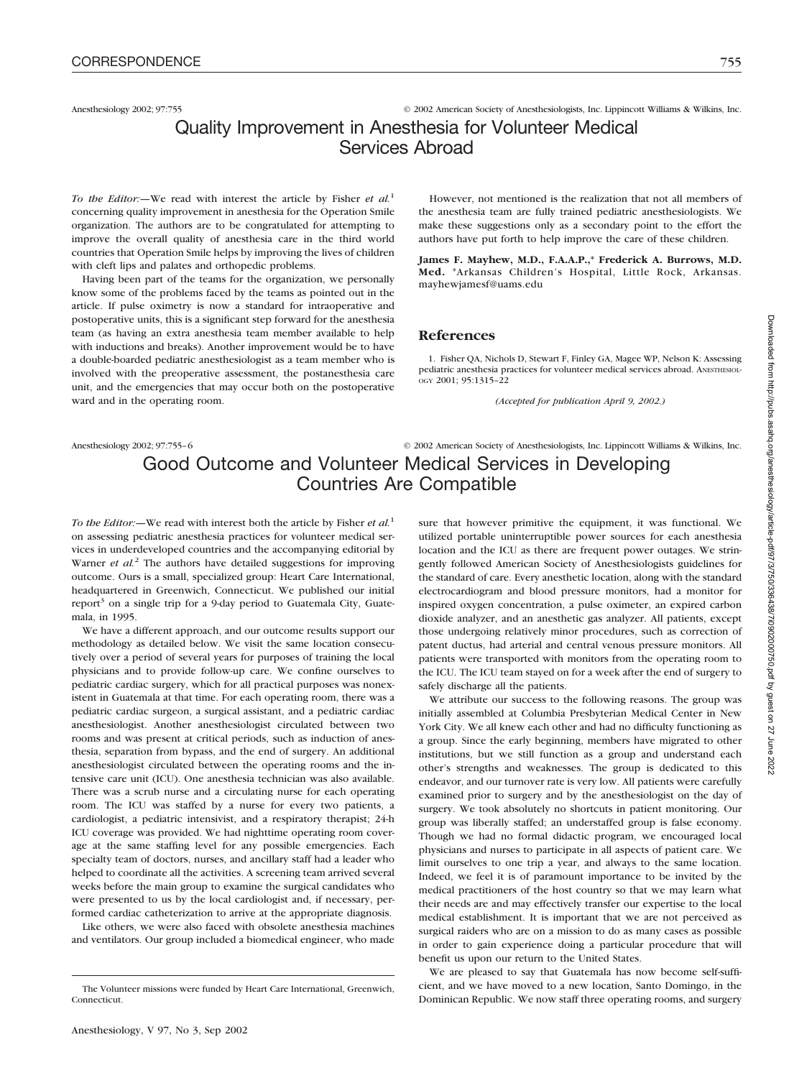## Anesthesiology 2002; 97:755 © 2002 American Society of Anesthesiologists, Inc. Lippincott Williams & Wilkins, Inc. Quality Improvement in Anesthesia for Volunteer Medical Services Abroad

*To the Editor:—*We read with interest the article by Fisher *et al.*<sup>1</sup> concerning quality improvement in anesthesia for the Operation Smile organization. The authors are to be congratulated for attempting to improve the overall quality of anesthesia care in the third world countries that Operation Smile helps by improving the lives of children with cleft lips and palates and orthopedic problems.

Having been part of the teams for the organization, we personally know some of the problems faced by the teams as pointed out in the article. If pulse oximetry is now a standard for intraoperative and postoperative units, this is a significant step forward for the anesthesia team (as having an extra anesthesia team member available to help with inductions and breaks). Another improvement would be to have a double-boarded pediatric anesthesiologist as a team member who is involved with the preoperative assessment, the postanesthesia care unit, and the emergencies that may occur both on the postoperative ward and in the operating room.

However, not mentioned is the realization that not all members of the anesthesia team are fully trained pediatric anesthesiologists. We make these suggestions only as a secondary point to the effort the authors have put forth to help improve the care of these children.

**James F. Mayhew, M.D., F.A.A.P.,\* Frederick A. Burrows, M.D. Med.** \*Arkansas Children's Hospital, Little Rock, Arkansas. mayhewjamesf@uams.edu

## **References**

1. Fisher QA, Nichols D, Stewart F, Finley GA, Magee WP, Nelson K: Assessing pediatric anesthesia practices for volunteer medical services abroad. ANESTHESIOL-OGY 2001; 95:1315–22

*(Accepted for publication April 9, 2002.)*

sure that however primitive the equipment, it was functional. We utilized portable uninterruptible power sources for each anesthesia

## Anesthesiology 2002; 97:755–6 © 2002 American Society of Anesthesiologists, Inc. Lippincott Williams & Wilkins, Inc. Good Outcome and Volunteer Medical Services in Developing Countries Are Compatible

*To the Editor:—*We read with interest both the article by Fisher *et al.*<sup>1</sup> on assessing pediatric anesthesia practices for volunteer medical services in underdeveloped countries and the accompanying editorial by Warner *et al.*<sup>2</sup> The authors have detailed suggestions for improving outcome. Ours is a small, specialized group: Heart Care International, headquartered in Greenwich, Connecticut. We published our initial report $3$  on a single trip for a 9-day period to Guatemala City, Guatemala, in 1995.

We have a different approach, and our outcome results support our methodology as detailed below. We visit the same location consecutively over a period of several years for purposes of training the local physicians and to provide follow-up care. We confine ourselves to pediatric cardiac surgery, which for all practical purposes was nonexistent in Guatemala at that time. For each operating room, there was a pediatric cardiac surgeon, a surgical assistant, and a pediatric cardiac anesthesiologist. Another anesthesiologist circulated between two rooms and was present at critical periods, such as induction of anesthesia, separation from bypass, and the end of surgery. An additional anesthesiologist circulated between the operating rooms and the intensive care unit (ICU). One anesthesia technician was also available. There was a scrub nurse and a circulating nurse for each operating room. The ICU was staffed by a nurse for every two patients, a cardiologist, a pediatric intensivist, and a respiratory therapist; 24-h ICU coverage was provided. We had nighttime operating room coverage at the same staffing level for any possible emergencies. Each specialty team of doctors, nurses, and ancillary staff had a leader who helped to coordinate all the activities. A screening team arrived several weeks before the main group to examine the surgical candidates who were presented to us by the local cardiologist and, if necessary, performed cardiac catheterization to arrive at the appropriate diagnosis.

Like others, we were also faced with obsolete anesthesia machines and ventilators. Our group included a biomedical engineer, who made location and the ICU as there are frequent power outages. We stringently followed American Society of Anesthesiologists guidelines for the standard of care. Every anesthetic location, along with the standard electrocardiogram and blood pressure monitors, had a monitor for inspired oxygen concentration, a pulse oximeter, an expired carbon dioxide analyzer, and an anesthetic gas analyzer. All patients, except those undergoing relatively minor procedures, such as correction of patent ductus, had arterial and central venous pressure monitors. All patients were transported with monitors from the operating room to the ICU. The ICU team stayed on for a week after the end of surgery to safely discharge all the patients. We attribute our success to the following reasons. The group was

initially assembled at Columbia Presbyterian Medical Center in New York City. We all knew each other and had no difficulty functioning as a group. Since the early beginning, members have migrated to other institutions, but we still function as a group and understand each other's strengths and weaknesses. The group is dedicated to this endeavor, and our turnover rate is very low. All patients were carefully examined prior to surgery and by the anesthesiologist on the day of surgery. We took absolutely no shortcuts in patient monitoring. Our group was liberally staffed; an understaffed group is false economy. Though we had no formal didactic program, we encouraged local physicians and nurses to participate in all aspects of patient care. We limit ourselves to one trip a year, and always to the same location. Indeed, we feel it is of paramount importance to be invited by the medical practitioners of the host country so that we may learn what their needs are and may effectively transfer our expertise to the local medical establishment. It is important that we are not perceived as surgical raiders who are on a mission to do as many cases as possible in order to gain experience doing a particular procedure that will benefit us upon our return to the United States.

We are pleased to say that Guatemala has now become self-sufficient, and we have moved to a new location, Santo Domingo, in the Dominican Republic. We now staff three operating rooms, and surgery

The Volunteer missions were funded by Heart Care International, Greenwich, Connecticut.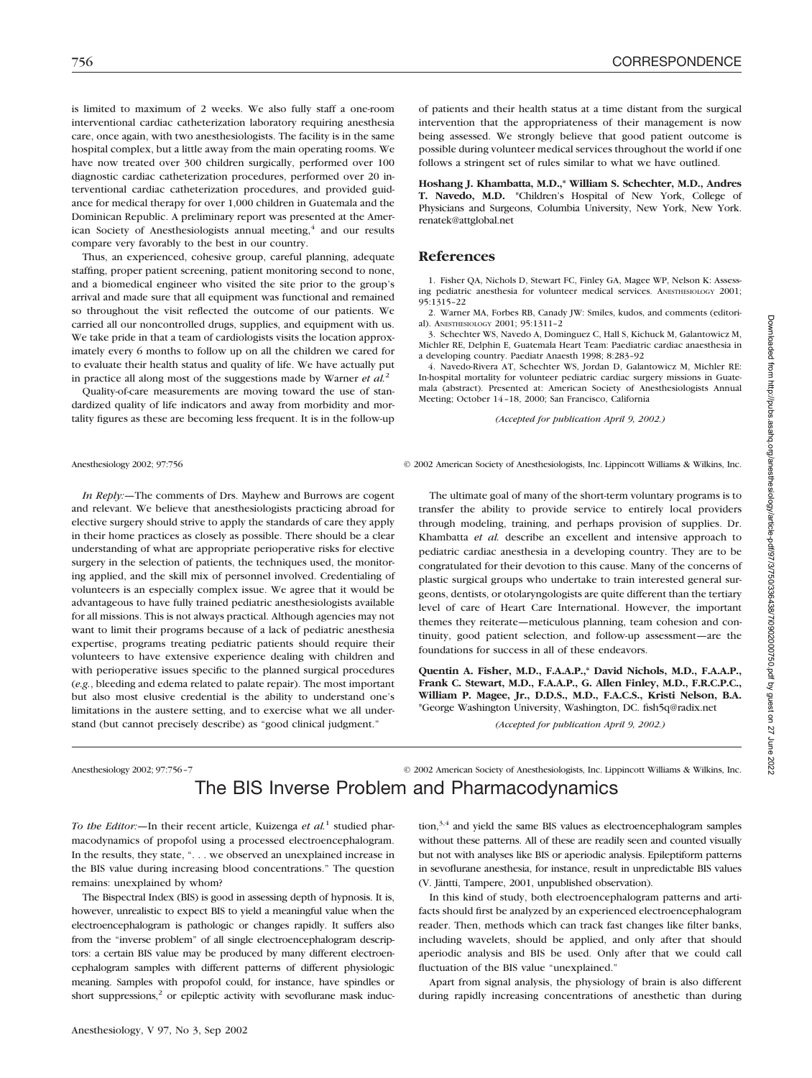is limited to maximum of 2 weeks. We also fully staff a one-room interventional cardiac catheterization laboratory requiring anesthesia care, once again, with two anesthesiologists. The facility is in the same hospital complex, but a little away from the main operating rooms. We have now treated over 300 children surgically, performed over 100 diagnostic cardiac catheterization procedures, performed over 20 interventional cardiac catheterization procedures, and provided guidance for medical therapy for over 1,000 children in Guatemala and the Dominican Republic. A preliminary report was presented at the American Society of Anesthesiologists annual meeting,<sup>4</sup> and our results compare very favorably to the best in our country.

Thus, an experienced, cohesive group, careful planning, adequate staffing, proper patient screening, patient monitoring second to none, and a biomedical engineer who visited the site prior to the group's arrival and made sure that all equipment was functional and remained so throughout the visit reflected the outcome of our patients. We carried all our noncontrolled drugs, supplies, and equipment with us. We take pride in that a team of cardiologists visits the location approximately every 6 months to follow up on all the children we cared for to evaluate their health status and quality of life. We have actually put in practice all along most of the suggestions made by Warner *et al.*<sup>2</sup>

Quality-of-care measurements are moving toward the use of standardized quality of life indicators and away from morbidity and mortality figures as these are becoming less frequent. It is in the follow-up

of patients and their health status at a time distant from the surgical intervention that the appropriateness of their management is now being assessed. We strongly believe that good patient outcome is possible during volunteer medical services throughout the world if one follows a stringent set of rules similar to what we have outlined.

**Hoshang J. Khambatta, M.D.,\* William S. Schechter, M.D., Andres T. Navedo, M.D.** \*Children's Hospital of New York, College of Physicians and Surgeons, Columbia University, New York, New York. renatek@attglobal.net

#### **References**

1. Fisher QA, Nichols D, Stewart FC, Finley GA, Magee WP, Nelson K: Assessing pediatric anesthesia for volunteer medical services. ANESTHESIOLOGY 2001; 95:1315–22

2. Warner MA, Forbes RB, Canady JW: Smiles, kudos, and comments (editorial). ANESTHESIOLOGY 2001; 95:1311–2

3. Schechter WS, Navedo A, Dominguez C, Hall S, Kichuck M, Galantowicz M, Michler RE, Delphin E, Guatemala Heart Team: Paediatric cardiac anaesthesia in a developing country. Paediatr Anaesth 1998; 8:283–92

4. Navedo-Rivera AT, Schechter WS, Jordan D, Galantowicz M, Michler RE: In-hospital mortality for volunteer pediatric cardiac surgery missions in Guatemala (abstract). Presented at: American Society of Anesthesiologists Annual Meeting; October 14–18, 2000; San Francisco, California

*(Accepted for publication April 9, 2002.)*

*In Reply:—*The comments of Drs. Mayhew and Burrows are cogent and relevant. We believe that anesthesiologists practicing abroad for elective surgery should strive to apply the standards of care they apply in their home practices as closely as possible. There should be a clear understanding of what are appropriate perioperative risks for elective surgery in the selection of patients, the techniques used, the monitoring applied, and the skill mix of personnel involved. Credentialing of volunteers is an especially complex issue. We agree that it would be advantageous to have fully trained pediatric anesthesiologists available for all missions. This is not always practical. Although agencies may not want to limit their programs because of a lack of pediatric anesthesia expertise, programs treating pediatric patients should require their volunteers to have extensive experience dealing with children and with perioperative issues specific to the planned surgical procedures (*e.g.*, bleeding and edema related to palate repair). The most important but also most elusive credential is the ability to understand one's limitations in the austere setting, and to exercise what we all understand (but cannot precisely describe) as "good clinical judgment."

Anesthesiology 2002; 97:756 © 2002 American Society of Anesthesiologists, Inc. Lippincott Williams & Wilkins, Inc.

The ultimate goal of many of the short-term voluntary programs is to transfer the ability to provide service to entirely local providers through modeling, training, and perhaps provision of supplies. Dr. Khambatta *et al.* describe an excellent and intensive approach to pediatric cardiac anesthesia in a developing country. They are to be congratulated for their devotion to this cause. Many of the concerns of plastic surgical groups who undertake to train interested general surgeons, dentists, or otolaryngologists are quite different than the tertiary level of care of Heart Care International. However, the important themes they reiterate—meticulous planning, team cohesion and continuity, good patient selection, and follow-up assessment—are the foundations for success in all of these endeavors.

**Quentin A. Fisher, M.D., F.A.A.P.,\* David Nichols, M.D., F.A.A.P., Frank C. Stewart, M.D., F.A.A.P., G. Allen Finley, M.D., F.R.C.P.C., William P. Magee, Jr., D.D.S., M.D., F.A.C.S., Kristi Nelson, B.A.** \*George Washington University, Washington, DC. fish5q@radix.net

*(Accepted for publication April 9, 2002.)*

## Anesthesiology 2002; 97:756–7 © 2002 American Society of Anesthesiologists, Inc. Lippincott Williams & Wilkins, Inc. The BIS Inverse Problem and Pharmacodynamics

*To the Editor:—*In their recent article, Kuizenga *et al.*<sup>1</sup> studied pharmacodynamics of propofol using a processed electroencephalogram. In the results, they state, ". . . we observed an unexplained increase in the BIS value during increasing blood concentrations." The question remains: unexplained by whom?

The Bispectral Index (BIS) is good in assessing depth of hypnosis. It is, however, unrealistic to expect BIS to yield a meaningful value when the electroencephalogram is pathologic or changes rapidly. It suffers also from the "inverse problem" of all single electroencephalogram descriptors: a certain BIS value may be produced by many different electroencephalogram samples with different patterns of different physiologic meaning. Samples with propofol could, for instance, have spindles or short suppressions,<sup>2</sup> or epileptic activity with sevoflurane mask induction, $3,4$  and yield the same BIS values as electroencephalogram samples without these patterns. All of these are readily seen and counted visually but not with analyses like BIS or aperiodic analysis. Epileptiform patterns in sevoflurane anesthesia, for instance, result in unpredictable BIS values (V. Jäntti, Tampere, 2001, unpublished observation).

In this kind of study, both electroencephalogram patterns and artifacts should first be analyzed by an experienced electroencephalogram reader. Then, methods which can track fast changes like filter banks, including wavelets, should be applied, and only after that should aperiodic analysis and BIS be used. Only after that we could call fluctuation of the BIS value "unexplained."

Apart from signal analysis, the physiology of brain is also different during rapidly increasing concentrations of anesthetic than during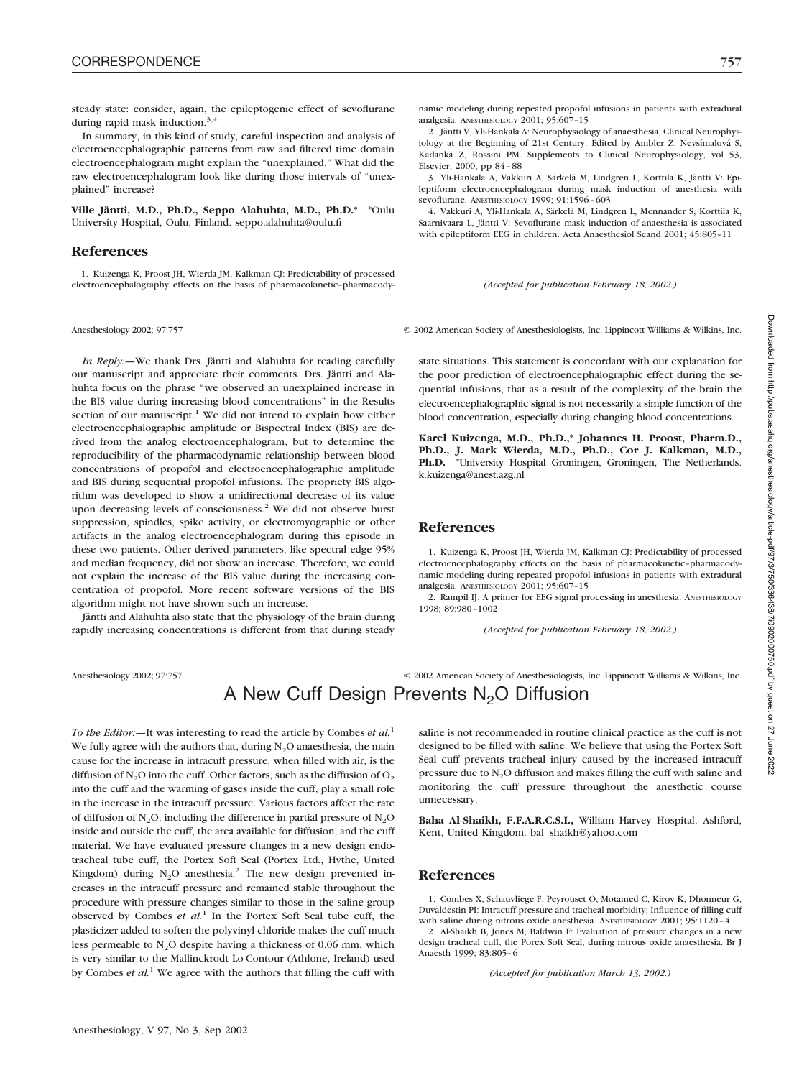steady state: consider, again, the epileptogenic effect of sevoflurane during rapid mask induction. $3,4$ 

In summary, in this kind of study, careful inspection and analysis of electroencephalographic patterns from raw and filtered time domain electroencephalogram might explain the "unexplained." What did the raw electroencephalogram look like during those intervals of "unexplained" increase?

**Ville Jäntti, M.D., Ph.D., Seppo Alahuhta, M.D., Ph.D.\*** \*Oulu University Hospital, Oulu, Finland. seppo.alahuhta@oulu.fi

### **References**

1. Kuizenga K, Proost JH, Wierda JM, Kalkman CJ: Predictability of processed electroencephalography effects on the basis of pharmacokinetic–pharmacody-

*In Reply:—*We thank Drs. Jäntti and Alahuhta for reading carefully our manuscript and appreciate their comments. Drs. Jäntti and Alahuhta focus on the phrase "we observed an unexplained increase in the BIS value during increasing blood concentrations" in the Results section of our manuscript.<sup>1</sup> We did not intend to explain how either electroencephalographic amplitude or Bispectral Index (BIS) are derived from the analog electroencephalogram, but to determine the reproducibility of the pharmacodynamic relationship between blood concentrations of propofol and electroencephalographic amplitude and BIS during sequential propofol infusions. The propriety BIS algorithm was developed to show a unidirectional decrease of its value upon decreasing levels of consciousness.<sup>2</sup> We did not observe burst suppression, spindles, spike activity, or electromyographic or other artifacts in the analog electroencephalogram during this episode in these two patients. Other derived parameters, like spectral edge 95% and median frequency, did not show an increase. Therefore, we could not explain the increase of the BIS value during the increasing concentration of propofol. More recent software versions of the BIS algorithm might not have shown such an increase.

Jäntti and Alahuhta also state that the physiology of the brain during rapidly increasing concentrations is different from that during steady

namic modeling during repeated propofol infusions in patients with extradural analgesia. ANESTHESIOLOGY 2001; 95:607–15

2. Jäntti V, Yli-Hankala A: Neurophysiology of anaesthesia, Clinical Neurophysiology at the Beginning of 21st Century. Edited by Ambler Z, Nevsímalová S, Kadanka Z, Rossini PM. Supplements to Clinical Neurophysiology, vol 53, Elsevier, 2000, pp 84–88

3. Yli-Hankala A, Vakkuri A, Särkelä M, Lindgren L, Korttila K, Jäntti V: Epileptiform electroencephalogram during mask induction of anesthesia with sevoflurane. ANESTHESIOLOGY 1999; 91:1596–603

4. Vakkuri A, Yli-Hankala A, Särkelä M, Lindgren L, Mennander S, Korttila K, Saarnivaara L, Jäntti V: Sevoflurane mask induction of anaesthesia is associated with epileptiform EEG in children. Acta Anaesthesiol Scand 2001; 45:805–11

#### *(Accepted for publication February 18, 2002.)*

Anesthesiology 2002; 97:757 © 2002 American Society of Anesthesiologists, Inc. Lippincott Williams & Wilkins, Inc.

state situations. This statement is concordant with our explanation for the poor prediction of electroencephalographic effect during the sequential infusions, that as a result of the complexity of the brain the electroencephalographic signal is not necessarily a simple function of the blood concentration, especially during changing blood concentrations.

**Karel Kuizenga, M.D., Ph.D.,\* Johannes H. Proost, Pharm.D., Ph.D., J. Mark Wierda, M.D., Ph.D., Cor J. Kalkman, M.D., Ph.D.** \*University Hospital Groningen, Groningen, The Netherlands. k.kuizenga@anest.azg.nl

### **References**

1. Kuizenga K, Proost JH, Wierda JM, Kalkman CJ: Predictability of processed electroencephalography effects on the basis of pharmacokinetic–pharmacodynamic modeling during repeated propofol infusions in patients with extradural analgesia. ANESTHESIOLOGY 2001; 95:607–15

2. Rampil IJ: A primer for EEG signal processing in anesthesia. ANESTHESIOLOGY 1998; 89:980–1002

*(Accepted for publication February 18, 2002.)*

Anesthesiology 2002; 97:757 © 2002 American Society of Anesthesiologists, Inc. Lippincott Williams & Wilkins, Inc. A New Cuff Design Prevents  $N<sub>2</sub>O$  Diffusion

*To the Editor:—*It was interesting to read the article by Combes *et al.*<sup>1</sup> We fully agree with the authors that, during  $N<sub>2</sub>O$  anaesthesia, the main cause for the increase in intracuff pressure, when filled with air, is the diffusion of  $N_2O$  into the cuff. Other factors, such as the diffusion of  $O_2$ into the cuff and the warming of gases inside the cuff, play a small role in the increase in the intracuff pressure. Various factors affect the rate of diffusion of N<sub>2</sub>O, including the difference in partial pressure of N<sub>2</sub>O inside and outside the cuff, the area available for diffusion, and the cuff material. We have evaluated pressure changes in a new design endotracheal tube cuff, the Portex Soft Seal (Portex Ltd., Hythe, United Kingdom) during  $N_2O$  anesthesia.<sup>2</sup> The new design prevented increases in the intracuff pressure and remained stable throughout the procedure with pressure changes similar to those in the saline group observed by Combes *et al.*<sup>1</sup> In the Portex Soft Seal tube cuff, the plasticizer added to soften the polyvinyl chloride makes the cuff much less permeable to  $N_2O$  despite having a thickness of 0.06 mm, which is very similar to the Mallinckrodt Lo-Contour (Athlone, Ireland) used by Combes *et al.*<sup>1</sup> We agree with the authors that filling the cuff with

saline is not recommended in routine clinical practice as the cuff is not designed to be filled with saline. We believe that using the Portex Soft Seal cuff prevents tracheal injury caused by the increased intracuff pressure due to  $N<sub>2</sub>O$  diffusion and makes filling the cuff with saline and monitoring the cuff pressure throughout the anesthetic course unnecessary.

**Baha Al-Shaikh, F.F.A.R.C.S.I.,** William Harvey Hospital, Ashford, Kent, United Kingdom. bal\_shaikh@yahoo.com

### **References**

1. Combes X, Schauvliege F, Peyrouset O, Motamed C, Kirov K, Dhonneur G, Duvaldestin PI: Intracuff pressure and tracheal morbidity: Influence of filling cuff with saline during nitrous oxide anesthesia. ANESTHESIOLOGY 2001: 95:1120-4

2. Al-Shaikh B, Jones M, Baldwin F: Evaluation of pressure changes in a new design tracheal cuff, the Porex Soft Seal, during nitrous oxide anaesthesia. Br J Anaesth 1999; 83:805–6

*(Accepted for publication March 13, 2002.)*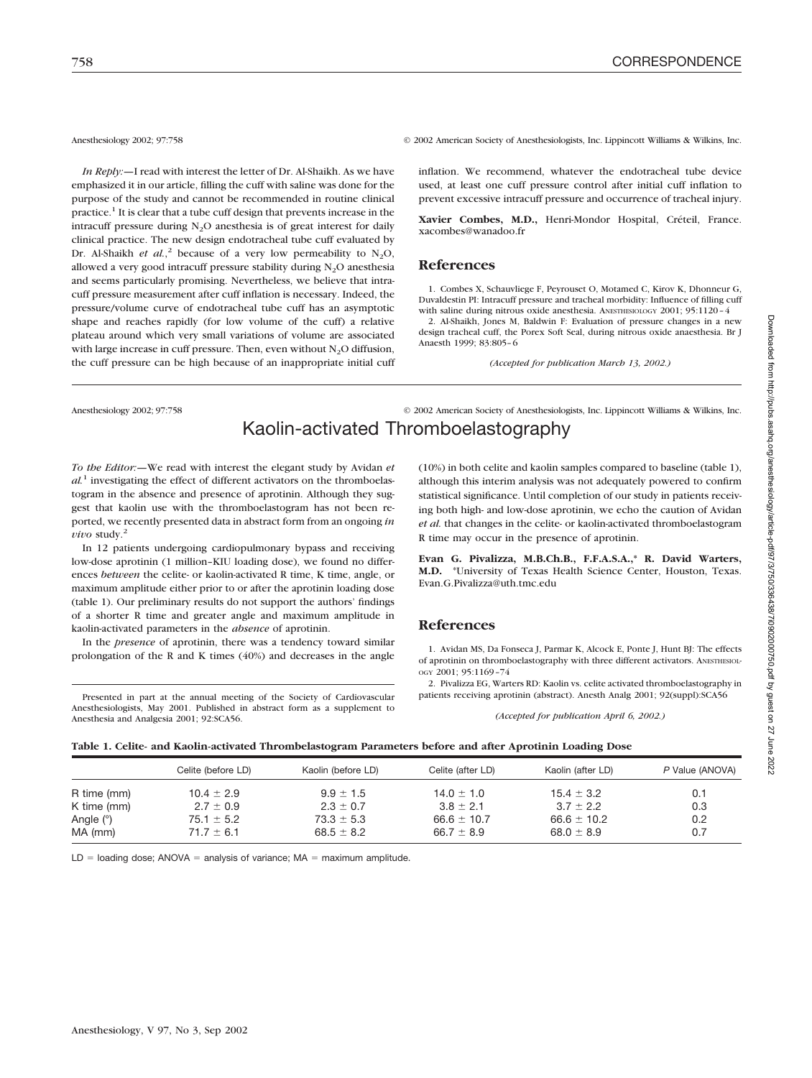*In Reply:—*I read with interest the letter of Dr. Al-Shaikh. As we have emphasized it in our article, filling the cuff with saline was done for the purpose of the study and cannot be recommended in routine clinical practice.1 It is clear that a tube cuff design that prevents increase in the intracuff pressure during  $N_2O$  anesthesia is of great interest for daily clinical practice. The new design endotracheal tube cuff evaluated by Dr. Al-Shaikh *et al.*,<sup>2</sup> because of a very low permeability to  $N_2O$ , allowed a very good intracuff pressure stability during  $N_2O$  anesthesia and seems particularly promising. Nevertheless, we believe that intracuff pressure measurement after cuff inflation is necessary. Indeed, the pressure/volume curve of endotracheal tube cuff has an asymptotic shape and reaches rapidly (for low volume of the cuff) a relative plateau around which very small variations of volume are associated with large increase in cuff pressure. Then, even without  $N_2O$  diffusion, the cuff pressure can be high because of an inappropriate initial cuff

Anesthesiology 2002; 97:758 © 2002 American Society of Anesthesiologists, Inc. Lippincott Williams & Wilkins, Inc.

inflation. We recommend, whatever the endotracheal tube device used, at least one cuff pressure control after initial cuff inflation to prevent excessive intracuff pressure and occurrence of tracheal injury.

**Xavier Combes, M.D.,** Henri-Mondor Hospital, Créteil, France. xacombes@wanadoo.fr

#### **References**

1. Combes X, Schauvliege F, Peyrouset O, Motamed C, Kirov K, Dhonneur G, Duvaldestin PI: Intracuff pressure and tracheal morbidity: Influence of filling cuff with saline during nitrous oxide anesthesia. ANESTHESIOLOGY 2001: 95:1120-4

2. Al-Shaikh, Jones M, Baldwin F: Evaluation of pressure changes in a new design tracheal cuff, the Porex Soft Seal, during nitrous oxide anaesthesia. Br J Anaesth 1999; 83:805–6

*(Accepted for publication March 13, 2002.)*

Anesthesiology 2002; 97:758 © 2002 American Society of Anesthesiologists, Inc. Lippincott Williams & Wilkins, Inc. Kaolin-activated Thromboelastography

*To the Editor:—*We read with interest the elegant study by Avidan *et al.*<sup>1</sup> investigating the effect of different activators on the thromboelastogram in the absence and presence of aprotinin. Although they suggest that kaolin use with the thromboelastogram has not been reported, we recently presented data in abstract form from an ongoing *in vivo* study. $^{2}$ 

In 12 patients undergoing cardiopulmonary bypass and receiving low-dose aprotinin (1 million–KIU loading dose), we found no differences *between* the celite- or kaolin-activated R time, K time, angle, or maximum amplitude either prior to or after the aprotinin loading dose (table 1). Our preliminary results do not support the authors' findings of a shorter R time and greater angle and maximum amplitude in kaolin-activated parameters in the *absence* of aprotinin.

In the *presence* of aprotinin, there was a tendency toward similar prolongation of the R and K times (40%) and decreases in the angle

Presented in part at the annual meeting of the Society of Cardiovascular Anesthesiologists, May 2001. Published in abstract form as a supplement to Anesthesia and Analgesia 2001; 92:SCA56.

(10%) in both celite and kaolin samples compared to baseline (table 1), although this interim analysis was not adequately powered to confirm statistical significance. Until completion of our study in patients receiving both high- and low-dose aprotinin, we echo the caution of Avidan *et al.* that changes in the celite- or kaolin-activated thromboelastogram R time may occur in the presence of aprotinin.

**Evan G. Pivalizza, M.B.Ch.B., F.F.A.S.A.,\* R. David Warters, M.D.** \*University of Texas Health Science Center, Houston, Texas. Evan.G.Pivalizza@uth.tmc.edu

## **References**

1. Avidan MS, Da Fonseca J, Parmar K, Alcock E, Ponte J, Hunt BJ: The effects of aprotinin on thromboelastography with three different activators. ANESTHESIOL-OGY 2001; 95:1169–74

2. Pivalizza EG, Warters RD: Kaolin vs. celite activated thromboelastography in patients receiving aprotinin (abstract). Anesth Analg 2001; 92(suppl):SCA56

*(Accepted for publication April 6, 2002.)*

| Table 1. Celite- and Kaolin-activated Thrombelastogram Parameters before and after Aprotinin Loading Dose |  |  |
|-----------------------------------------------------------------------------------------------------------|--|--|
|                                                                                                           |  |  |

|             | Celite (before LD) | Kaolin (before LD) | Celite (after LD) | Kaolin (after LD) | P Value (ANOVA) |
|-------------|--------------------|--------------------|-------------------|-------------------|-----------------|
| R time (mm) | $10.4 \pm 2.9$     | $9.9 \pm 1.5$      | $14.0 \pm 1.0$    | $15.4 \pm 3.2$    | 0.1             |
| K time (mm) | $2.7 \pm 0.9$      | $2.3 \pm 0.7$      | $3.8 \pm 2.1$     | $3.7 \pm 2.2$     | 0.3             |
| Angle $(°)$ | $75.1 \pm 5.2$     | $73.3 \pm 5.3$     | $66.6 \pm 10.7$   | $66.6 \pm 10.2$   | 0.2             |
| MA (mm)     | $71.7 \pm 6.1$     | $68.5 \pm 8.2$     | 66.7 $\pm$ 8.9    | $68.0 \pm 8.9$    | 0.7             |

 $LD =$  loading dose; ANOVA = analysis of variance; MA = maximum amplitude.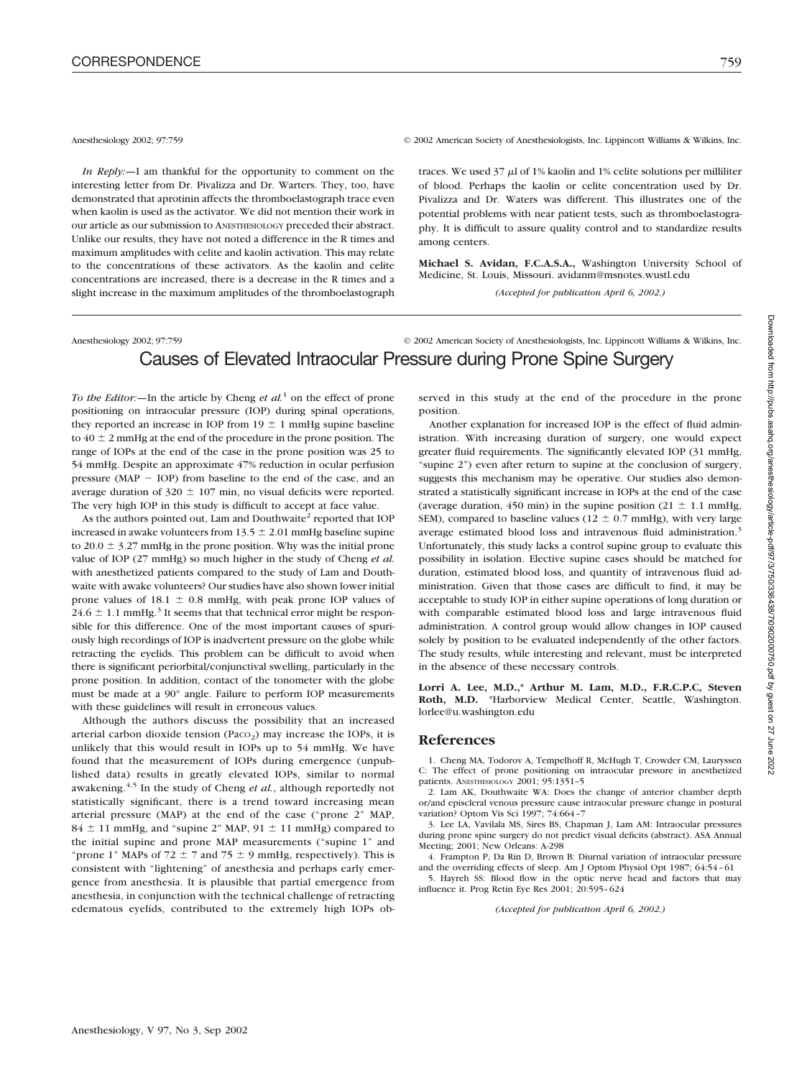*In Reply:—*I am thankful for the opportunity to comment on the interesting letter from Dr. Pivalizza and Dr. Warters. They, too, have demonstrated that aprotinin affects the thromboelastograph trace even when kaolin is used as the activator. We did not mention their work in our article as our submission to ANESTHESIOLOGY preceded their abstract. Unlike our results, they have not noted a difference in the R times and maximum amplitudes with celite and kaolin activation. This may relate to the concentrations of these activators. As the kaolin and celite concentrations are increased, there is a decrease in the R times and a slight increase in the maximum amplitudes of the thromboelastograph

#### Anesthesiology 2002; 97:759 © 2002 American Society of Anesthesiologists, Inc. Lippincott Williams & Wilkins, Inc.

traces. We used  $37 \mu l$  of 1% kaolin and 1% celite solutions per milliliter of blood. Perhaps the kaolin or celite concentration used by Dr. Pivalizza and Dr. Waters was different. This illustrates one of the potential problems with near patient tests, such as thromboelastography. It is difficult to assure quality control and to standardize results among centers.

**Michael S. Avidan, F.C.A.S.A.,** Washington University School of Medicine, St. Louis, Missouri. avidanm@msnotes.wustl.edu

*(Accepted for publication April 6, 2002.)*

## Anesthesiology 2002; 97:759 © 2002 American Society of Anesthesiologists, Inc. Lippincott Williams & Wilkins, Inc. Causes of Elevated Intraocular Pressure during Prone Spine Surgery

*To the Editor:*—In the article by Cheng *et al.*<sup>1</sup> on the effect of prone positioning on intraocular pressure (IOP) during spinal operations, they reported an increase in IOP from  $19 \pm 1$  mmHg supine baseline to  $40 \pm 2$  mmHg at the end of the procedure in the prone position. The range of IOPs at the end of the case in the prone position was 25 to 54 mmHg. Despite an approximate 47% reduction in ocular perfusion pressure ( $MAP - IOP$ ) from baseline to the end of the case, and an average duration of  $320 \pm 107$  min, no visual deficits were reported. The very high IOP in this study is difficult to accept at face value.

As the authors pointed out, Lam and Douthwaite<sup>2</sup> reported that IOP increased in awake volunteers from  $13.5 \pm 2.01$  mmHg baseline supine to 20.0  $\pm$  3.27 mmHg in the prone position. Why was the initial prone value of IOP (27 mmHg) so much higher in the study of Cheng *et al.* with anesthetized patients compared to the study of Lam and Douthwaite with awake volunteers? Our studies have also shown lower initial prone values of 18.1  $\pm$  0.8 mmHg, with peak prone IOP values of  $24.6 \pm 1.1$  mmHg.<sup>3</sup> It seems that that technical error might be responsible for this difference. One of the most important causes of spuriously high recordings of IOP is inadvertent pressure on the globe while retracting the eyelids. This problem can be difficult to avoid when there is significant periorbital/conjunctival swelling, particularly in the prone position. In addition, contact of the tonometer with the globe must be made at a 90° angle. Failure to perform IOP measurements with these guidelines will result in erroneous values.

Although the authors discuss the possibility that an increased arterial carbon dioxide tension (Paco<sub>2</sub>) may increase the IOPs, it is unlikely that this would result in IOPs up to 54 mmHg. We have found that the measurement of IOPs during emergence (unpublished data) results in greatly elevated IOPs, similar to normal awakening.4,5 In the study of Cheng *et al.*, although reportedly not statistically significant, there is a trend toward increasing mean arterial pressure (MAP) at the end of the case ("prone 2" MAP,  $84 \pm 11$  mmHg, and "supine 2" MAP,  $91 \pm 11$  mmHg) compared to the initial supine and prone MAP measurements ("supine 1" and "prone 1" MAPs of 72  $\pm$  7 and 75  $\pm$  9 mmHg, respectively). This is consistent with "lightening" of anesthesia and perhaps early emergence from anesthesia. It is plausible that partial emergence from anesthesia, in conjunction with the technical challenge of retracting edematous eyelids, contributed to the extremely high IOPs ob-

served in this study at the end of the procedure in the prone position.

Another explanation for increased IOP is the effect of fluid administration. With increasing duration of surgery, one would expect greater fluid requirements. The significantly elevated IOP (31 mmHg, "supine 2") even after return to supine at the conclusion of surgery, suggests this mechanism may be operative. Our studies also demonstrated a statistically significant increase in IOPs at the end of the case (average duration, 450 min) in the supine position (21  $\pm$  1.1 mmHg, SEM), compared to baseline values ( $12 \pm 0.7$  mmHg), with very large average estimated blood loss and intravenous fluid administration.<sup>3</sup> Unfortunately, this study lacks a control supine group to evaluate this possibility in isolation. Elective supine cases should be matched for duration, estimated blood loss, and quantity of intravenous fluid administration. Given that those cases are difficult to find, it may be acceptable to study IOP in either supine operations of long duration or with comparable estimated blood loss and large intravenous fluid administration. A control group would allow changes in IOP caused solely by position to be evaluated independently of the other factors. The study results, while interesting and relevant, must be interpreted in the absence of these necessary controls.

**Lorri A. Lee, M.D.,\* Arthur M. Lam, M.D., F.R.C.P.C, Steven Roth, M.D.** \*Harborview Medical Center, Seattle, Washington. lorlee@u.washington.edu

### **References**

1. Cheng MA, Todorov A, Tempelhoff R, McHugh T, Crowder CM, Lauryssen C: The effect of prone positioning on intraocular pressure in anesthetized patients. ANESTHESIOLOGY 2001; 95:1351–5

2. Lam AK, Douthwaite WA: Does the change of anterior chamber depth or/and episcleral venous pressure cause intraocular pressure change in postural variation? Optom Vis Sci 1997; 74:664 -

3. Lee LA, Vavilala MS, Sires BS, Chapman J, Lam AM: Intraocular pressures during prone spine surgery do not predict visual deficits (abstract). ASA Annual Meeting; 2001; New Orleans: A-298

4. Frampton P, Da Rin D, Brown B: Diurnal variation of intraocular pressure and the overriding effects of sleep. Am J Optom Physiol Opt 1987; 64:54–61 5. Hayreh SS: Blood flow in the optic nerve head and factors that may

influence it. Prog Retin Eye Res 2001; 20:595–624

*(Accepted for publication April 6, 2002.)*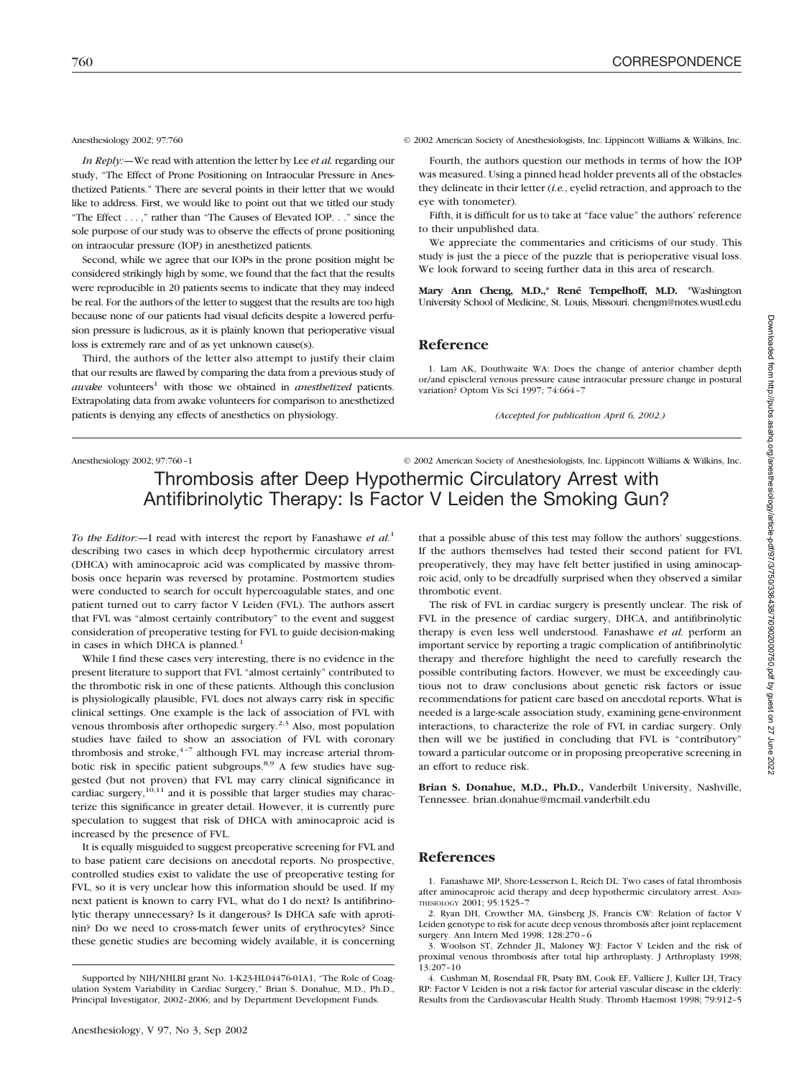*In Reply:—*We read with attention the letter by Lee *et al.* regarding our study, "The Effect of Prone Positioning on Intraocular Pressure in Anesthetized Patients." There are several points in their letter that we would like to address. First, we would like to point out that we titled our study "The Effect ...," rather than "The Causes of Elevated IOP. . ." since the sole purpose of our study was to observe the effects of prone positioning on intraocular pressure (IOP) in anesthetized patients.

Second, while we agree that our IOPs in the prone position might be considered strikingly high by some, we found that the fact that the results were reproducible in 20 patients seems to indicate that they may indeed be real. For the authors of the letter to suggest that the results are too high because none of our patients had visual deficits despite a lowered perfusion pressure is ludicrous, as it is plainly known that perioperative visual loss is extremely rare and of as yet unknown cause(s).

Third, the authors of the letter also attempt to justify their claim that our results are flawed by comparing the data from a previous study of  $a wake$  volunteers<sup>1</sup> with those we obtained in *anesthetized* patients. Extrapolating data from awake volunteers for comparison to anesthetized patients is denying any effects of anesthetics on physiology.

Anesthesiology 2002; 97:760 © 2002 American Society of Anesthesiologists, Inc. Lippincott Williams & Wilkins, Inc.

Fourth, the authors question our methods in terms of how the IOP was measured. Using a pinned head holder prevents all of the obstacles they delineate in their letter (*i.e.*, eyelid retraction, and approach to the eye with tonometer).

Fifth, it is difficult for us to take at "face value" the authors' reference to their unpublished data.

We appreciate the commentaries and criticisms of our study. This study is just the a piece of the puzzle that is perioperative visual loss. We look forward to seeing further data in this area of research.

**Mary Ann Cheng, M.D.,\* René Tempelhoff, M.D.** \*Washington University School of Medicine, St. Louis, Missouri. chengm@notes.wustl.edu

### **Reference**

1. Lam AK, Douthwaite WA: Does the change of anterior chamber depth or/and episcleral venous pressure cause intraocular pressure change in postural variation? Optom Vis Sci 1997; 74:664–7

*(Accepted for publication April 6, 2002.)*

Anesthesiology 2002; 97:760-1 © 2002 American Society of Anesthesiologists, Inc. Lippincott Williams & Wilkins, Inc.

## Thrombosis after Deep Hypothermic Circulatory Arrest with Antifibrinolytic Therapy: Is Factor V Leiden the Smoking Gun?

*To the Editor:—*I read with interest the report by Fanashawe *et al.*<sup>1</sup> describing two cases in which deep hypothermic circulatory arrest (DHCA) with aminocaproic acid was complicated by massive thrombosis once heparin was reversed by protamine. Postmortem studies were conducted to search for occult hypercoagulable states, and one patient turned out to carry factor V Leiden (FVL). The authors assert that FVL was "almost certainly contributory" to the event and suggest consideration of preoperative testing for FVL to guide decision-making in cases in which DHCA is planned.<sup>1</sup>

While I find these cases very interesting, there is no evidence in the present literature to support that FVL "almost certainly" contributed to the thrombotic risk in one of these patients. Although this conclusion is physiologically plausible, FVL does not always carry risk in specific clinical settings. One example is the lack of association of FVL with venous thrombosis after orthopedic surgery.<sup>2,3</sup> Also, most population studies have failed to show an association of FVL with coronary thrombosis and stroke, $4-7$  although FVL may increase arterial thrombotic risk in specific patient subgroups.8,9 A few studies have suggested (but not proven) that FVL may carry clinical significance in cardiac surgery,<sup>10,11</sup> and it is possible that larger studies may characterize this significance in greater detail. However, it is currently pure speculation to suggest that risk of DHCA with aminocaproic acid is increased by the presence of FVL.

It is equally misguided to suggest preoperative screening for FVL and to base patient care decisions on anecdotal reports. No prospective, controlled studies exist to validate the use of preoperative testing for FVL, so it is very unclear how this information should be used. If my next patient is known to carry FVL, what do I do next? Is antifibrinolytic therapy unnecessary? Is it dangerous? Is DHCA safe with aprotinin? Do we need to cross-match fewer units of erythrocytes? Since these genetic studies are becoming widely available, it is concerning

that a possible abuse of this test may follow the authors' suggestions. If the authors themselves had tested their second patient for FVL preoperatively, they may have felt better justified in using aminocaproic acid, only to be dreadfully surprised when they observed a similar thrombotic event.

The risk of FVL in cardiac surgery is presently unclear. The risk of FVL in the presence of cardiac surgery, DHCA, and antifibrinolytic therapy is even less well understood. Fanashawe *et al.* perform an important service by reporting a tragic complication of antifibrinolytic therapy and therefore highlight the need to carefully research the possible contributing factors. However, we must be exceedingly cautious not to draw conclusions about genetic risk factors or issue recommendations for patient care based on anecdotal reports. What is needed is a large-scale association study, examining gene-environment interactions, to characterize the role of FVL in cardiac surgery. Only then will we be justified in concluding that FVL is "contributory" toward a particular outcome or in proposing preoperative screening in an effort to reduce risk.

**Brian S. Donahue, M.D., Ph.D.,** Vanderbilt University, Nashville, Tennessee. brian.donahue@mcmail.vanderbilt.edu

### **References**

1. Fanashawe MP, Shore-Lesserson L, Reich DL: Two cases of fatal thrombosis after aminocaproic acid therapy and deep hypothermic circulatory arrest. ANES-THESIOLOGY 2001; 95:1525–7

Downloaded from http://pubs.asahq.org/anesthesiology/article-pdf/97/3760/336438/7i0902000750.pdf by guest on 27 June Downloaded from http://pubs.asahq.org/anesthesiology/article-pdf/97/3/750/336438/7i0902000750.pdf by guest on 27 June 2022

Supported by NIH/NHLBI grant No. 1-K23-HL04476-01A1, "The Role of Coagulation System Variability in Cardiac Surgery," Brian S. Donahue, M.D., Ph.D., Principal Investigator, 2002–2006; and by Department Development Funds.

<sup>2.</sup> Ryan DH, Crowther MA, Ginsberg JS, Francis CW: Relation of factor V Leiden genotype to risk for acute deep venous thrombosis after joint replacement surgery. Ann Intern Med 1998; 128:270–6

<sup>3.</sup> Woolson ST, Zehnder JL, Maloney WJ: Factor V Leiden and the risk of proximal venous thrombosis after total hip arthroplasty. J Arthroplasty 1998; 13:207–10

<sup>4.</sup> Cushman M, Rosendaal FR, Psaty BM, Cook EF, Valliere J, Kuller LH, Tracy RP: Factor V Leiden is not a risk factor for arterial vascular disease in the elderly: Results from the Cardiovascular Health Study. Thromb Haemost 1998; 79:912–5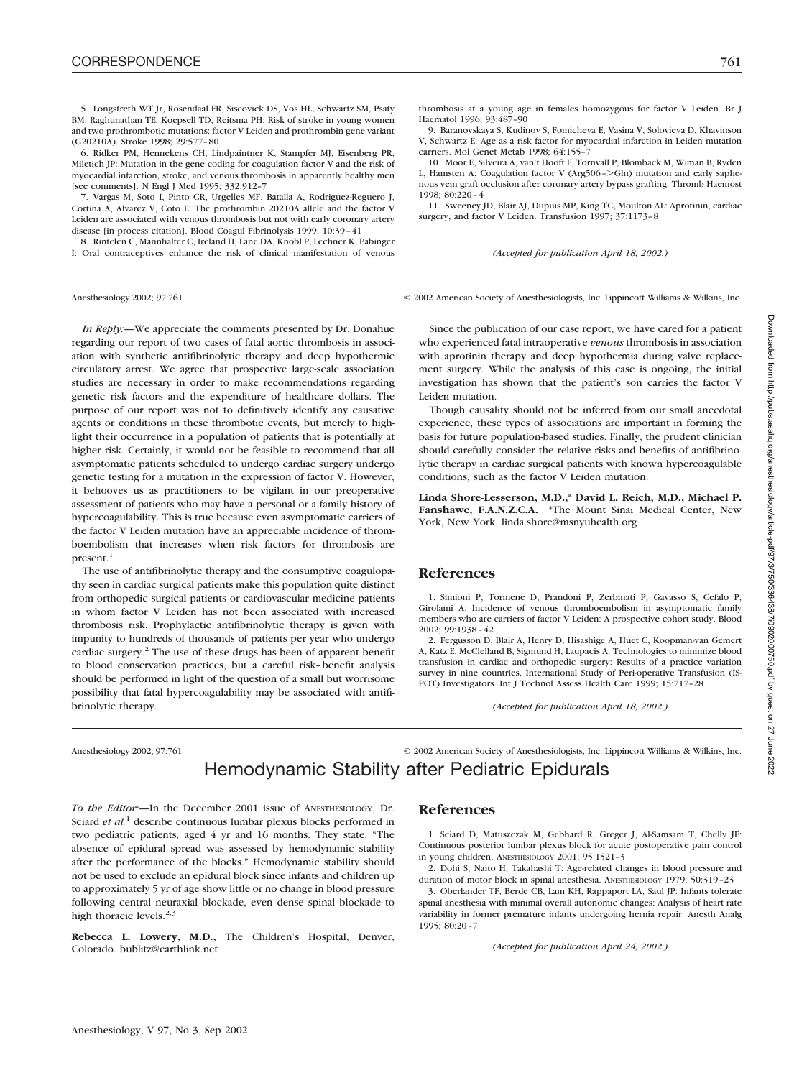5. Longstreth WT Jr, Rosendaal FR, Siscovick DS, Vos HL, Schwartz SM, Psaty BM, Raghunathan TE, Koepsell TD, Reitsma PH: Risk of stroke in young women and two prothrombotic mutations: factor V Leiden and prothrombin gene variant (G20210A). Stroke 1998; 29:577–80

6. Ridker PM, Hennekens CH, Lindpaintner K, Stampfer MJ, Eisenberg PR, Miletich JP: Mutation in the gene coding for coagulation factor V and the risk of myocardial infarction, stroke, and venous thrombosis in apparently healthy men [see comments]. N Engl J Med 1995; 332:912–7

7. Vargas M, Soto I, Pinto CR, Urgelles MF, Batalla A, Rodriguez-Reguero J, Cortina A, Alvarez V, Coto E: The prothrombin 20210A allele and the factor V Leiden are associated with venous thrombosis but not with early coronary artery disease [in process citation]. Blood Coagul Fibrinolysis 1999; 10:39–41

8. Rintelen C, Mannhalter C, Ireland H, Lane DA, Knobl P, Lechner K, Pabinger I: Oral contraceptives enhance the risk of clinical manifestation of venous

*In Reply:—*We appreciate the comments presented by Dr. Donahue regarding our report of two cases of fatal aortic thrombosis in association with synthetic antifibrinolytic therapy and deep hypothermic circulatory arrest. We agree that prospective large-scale association studies are necessary in order to make recommendations regarding genetic risk factors and the expenditure of healthcare dollars. The purpose of our report was not to definitively identify any causative agents or conditions in these thrombotic events, but merely to highlight their occurrence in a population of patients that is potentially at higher risk. Certainly, it would not be feasible to recommend that all asymptomatic patients scheduled to undergo cardiac surgery undergo genetic testing for a mutation in the expression of factor V. However, it behooves us as practitioners to be vigilant in our preoperative assessment of patients who may have a personal or a family history of hypercoagulability. This is true because even asymptomatic carriers of the factor V Leiden mutation have an appreciable incidence of thromboembolism that increases when risk factors for thrombosis are present.<sup>1</sup>

The use of antifibrinolytic therapy and the consumptive coagulopathy seen in cardiac surgical patients make this population quite distinct from orthopedic surgical patients or cardiovascular medicine patients in whom factor V Leiden has not been associated with increased thrombosis risk. Prophylactic antifibrinolytic therapy is given with impunity to hundreds of thousands of patients per year who undergo cardiac surgery.2 The use of these drugs has been of apparent benefit to blood conservation practices, but a careful risk–benefit analysis should be performed in light of the question of a small but worrisome possibility that fatal hypercoagulability may be associated with antifibrinolytic therapy.

thrombosis at a young age in females homozygous for factor V Leiden. Br J Haematol 1996; 93:487–90

9. Baranovskaya S, Kudinov S, Fomicheva E, Vasina V, Solovieva D, Khavinson V, Schwartz E: Age as a risk factor for myocardial infarction in Leiden mutation carriers. Mol Genet Metab 1998: 64:155-7

10. Moor E, Silveira A, van't Hooft F, Tornvall P, Blomback M, Wiman B, Ryden L, Hamsten A: Coagulation factor V (Arg506 -  $>$  Gln) mutation and early saphenous vein graft occlusion after coronary artery bypass grafting. Thromb Haemost 1998; 80:220–4

11. Sweeney JD, Blair AJ, Dupuis MP, King TC, Moulton AL: Aprotinin, cardiac surgery, and factor V Leiden. Transfusion 1997; 37:1173–8

*(Accepted for publication April 18, 2002.)*

Anesthesiology 2002; 97:761 © 2002 American Society of Anesthesiologists, Inc. Lippincott Williams & Wilkins, Inc.

Since the publication of our case report, we have cared for a patient who experienced fatal intraoperative *venous* thrombosis in association with aprotinin therapy and deep hypothermia during valve replacement surgery. While the analysis of this case is ongoing, the initial investigation has shown that the patient's son carries the factor V Leiden mutation.

Though causality should not be inferred from our small anecdotal experience, these types of associations are important in forming the basis for future population-based studies. Finally, the prudent clinician should carefully consider the relative risks and benefits of antifibrinolytic therapy in cardiac surgical patients with known hypercoagulable conditions, such as the factor V Leiden mutation.

**Linda Shore-Lesserson, M.D.,\* David L. Reich, M.D., Michael P. Fanshawe, F.A.N.Z.C.A.** \*The Mount Sinai Medical Center, New York, New York. linda.shore@msnyuhealth.org

### **References**

1. Simioni P, Tormene D, Prandoni P, Zerbinati P, Gavasso S, Cefalo P, Girolami A: Incidence of venous thromboembolism in asymptomatic family members who are carriers of factor V Leiden: A prospective cohort study. Blood 2002; 99:1938–42

2. Fergusson D, Blair A, Henry D, Hisashige A, Huet C, Koopman-van Gemert A, Katz E, McClelland B, Sigmund H, Laupacis A: Technologies to minimize blood transfusion in cardiac and orthopedic surgery: Results of a practice variation survey in nine countries. International Study of Peri-operative Transfusion (IS-POT) Investigators. Int J Technol Assess Health Care 1999; 15:717–28

*(Accepted for publication April 18, 2002.)*

Anesthesiology 2002; 97:761 © 2002 American Society of Anesthesiologists, Inc. Lippincott Williams & Wilkins, Inc.

## Hemodynamic Stability after Pediatric Epidurals

*To the Editor:—*In the December 2001 issue of ANESTHESIOLOGY, Dr. Sciard *et al.*<sup>1</sup> describe continuous lumbar plexus blocks performed in two pediatric patients, aged 4 yr and 16 months. They state, "The absence of epidural spread was assessed by hemodynamic stability after the performance of the blocks." Hemodynamic stability should not be used to exclude an epidural block since infants and children up to approximately 5 yr of age show little or no change in blood pressure following central neuraxial blockade, even dense spinal blockade to high thoracic levels.<sup>2,3</sup>

**Rebecca L. Lowery, M.D.,** The Children's Hospital, Denver, Colorado. bublitz@earthlink.net

### **References**

1. Sciard D, Matuszczak M, Gebhard R, Greger J, Al-Samsam T, Chelly JE: Continuous posterior lumbar plexus block for acute postoperative pain control in young children. ANESTHESIOLOGY 2001; 95:1521–3

2. Dohi S, Naito H, Takahashi T: Age-related changes in blood pressure and duration of motor block in spinal anesthesia. ANESTHESIOLOGY 1979; 50:319-23

3. Oberlander TF, Berde CB, Lam KH, Rappaport LA, Saul JP: Infants tolerate spinal anesthesia with minimal overall autonomic changes: Analysis of heart rate variability in former premature infants undergoing hernia repair. Anesth Analg 1995; 80:20–7

*(Accepted for publication April 24, 2002.)*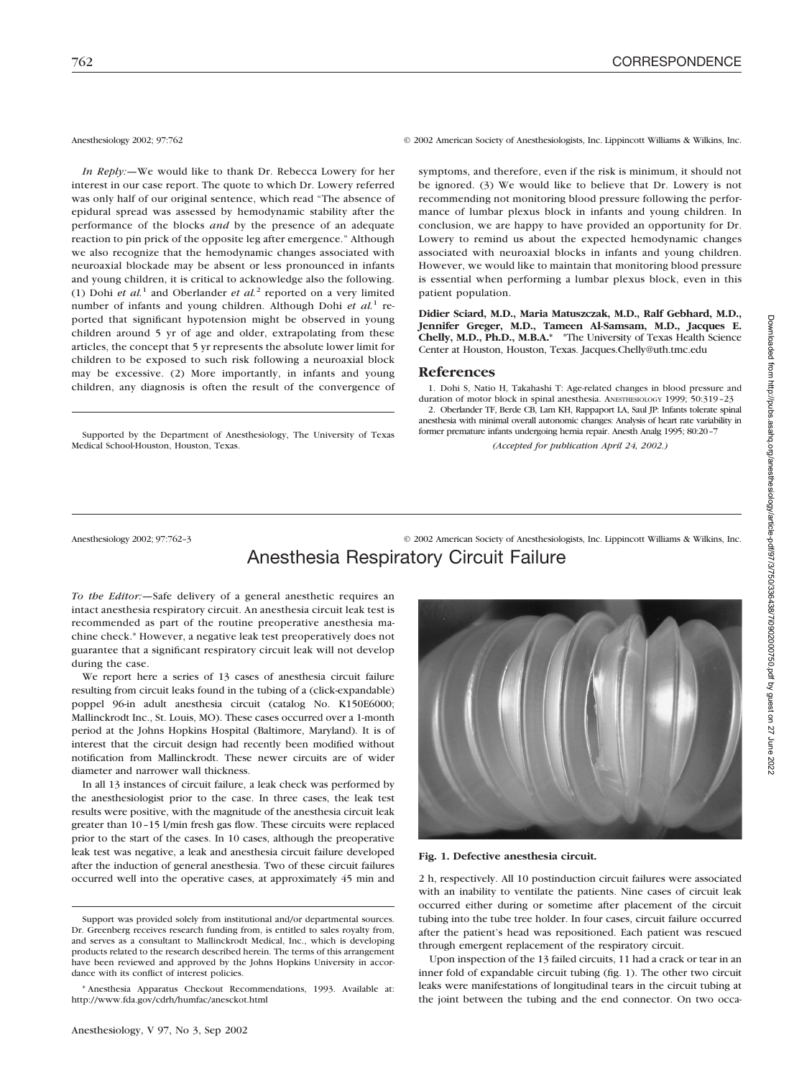*In Reply:—*We would like to thank Dr. Rebecca Lowery for her interest in our case report. The quote to which Dr. Lowery referred was only half of our original sentence, which read "The absence of epidural spread was assessed by hemodynamic stability after the performance of the blocks *and* by the presence of an adequate reaction to pin prick of the opposite leg after emergence." Although we also recognize that the hemodynamic changes associated with neuroaxial blockade may be absent or less pronounced in infants and young children, it is critical to acknowledge also the following. (1) Dohi *et al.*<sup>1</sup> and Oberlander *et al.*<sup>2</sup> reported on a very limited number of infants and young children. Although Dohi *et al.*<sup>1</sup> reported that significant hypotension might be observed in young children around 5 yr of age and older, extrapolating from these articles, the concept that 5 yr represents the absolute lower limit for children to be exposed to such risk following a neuroaxial block may be excessive. (2) More importantly, in infants and young children, any diagnosis is often the result of the convergence of

Supported by the Department of Anesthesiology, The University of Texas Medical School-Houston, Houston, Texas.

Anesthesiology 2002; 97:762 © 2002 American Society of Anesthesiologists, Inc. Lippincott Williams & Wilkins, Inc.

symptoms, and therefore, even if the risk is minimum, it should not be ignored. (3) We would like to believe that Dr. Lowery is not recommending not monitoring blood pressure following the performance of lumbar plexus block in infants and young children. In conclusion, we are happy to have provided an opportunity for Dr. Lowery to remind us about the expected hemodynamic changes associated with neuroaxial blocks in infants and young children. However, we would like to maintain that monitoring blood pressure is essential when performing a lumbar plexus block, even in this patient population.

**Didier Sciard, M.D., Maria Matuszczak, M.D., Ralf Gebhard, M.D., Jennifer Greger, M.D., Tameen Al-Samsam, M.D., Jacques E. Chelly, M.D., Ph.D., M.B.A.\*** \*The University of Texas Health Science Center at Houston, Houston, Texas. Jacques.Chelly@uth.tmc.edu

#### **References**

1. Dohi S, Natio H, Takahashi T: Age-related changes in blood pressure and duration of motor block in spinal anesthesia. ANESTHESIOLOGY 1999; 50:319–23

2. Oberlander TF, Berde CB, Lam KH, Rappaport LA, Saul JP: Infants tolerate spinal anesthesia with minimal overall autonomic changes: Analysis of heart rate variability in former premature infants undergoing hernia repair. Anesth Analg 1995; 80:20–7

*(Accepted for publication April 24, 2002.)*

## Anesthesiology 2002; 97:762–3 © 2002 American Society of Anesthesiologists, Inc. Lippincott Williams & Wilkins, Inc. Anesthesia Respiratory Circuit Failure

*To the Editor:—*Safe delivery of a general anesthetic requires an intact anesthesia respiratory circuit. An anesthesia circuit leak test is recommended as part of the routine preoperative anesthesia machine check.\* However, a negative leak test preoperatively does not guarantee that a significant respiratory circuit leak will not develop during the case.

We report here a series of 13 cases of anesthesia circuit failure resulting from circuit leaks found in the tubing of a (click-expandable) poppel 96-in adult anesthesia circuit (catalog No. K150E6000; Mallinckrodt Inc., St. Louis, MO). These cases occurred over a 1-month period at the Johns Hopkins Hospital (Baltimore, Maryland). It is of interest that the circuit design had recently been modified without notification from Mallinckrodt. These newer circuits are of wider diameter and narrower wall thickness.

In all 13 instances of circuit failure, a leak check was performed by the anesthesiologist prior to the case. In three cases, the leak test results were positive, with the magnitude of the anesthesia circuit leak greater than 10–15 l/min fresh gas flow. These circuits were replaced prior to the start of the cases. In 10 cases, although the preoperative leak test was negative, a leak and anesthesia circuit failure developed after the induction of general anesthesia. Two of these circuit failures



#### **Fig. 1. Defective anesthesia circuit.**

occurred well into the operative cases, at approximately 45 min and 2 h, respectively. All 10 postinduction circuit failures were associated with an inability to ventilate the patients. Nine cases of circuit leak occurred either during or sometime after placement of the circuit tubing into the tube tree holder. In four cases, circuit failure occurred after the patient's head was repositioned. Each patient was rescued through emergent replacement of the respiratory circuit.

> Upon inspection of the 13 failed circuits, 11 had a crack or tear in an inner fold of expandable circuit tubing (fig. 1). The other two circuit leaks were manifestations of longitudinal tears in the circuit tubing at the joint between the tubing and the end connector. On two occa-

Support was provided solely from institutional and/or departmental sources. Dr. Greenberg receives research funding from, is entitled to sales royalty from, and serves as a consultant to Mallinckrodt Medical, Inc., which is developing products related to the research described herein. The terms of this arrangement have been reviewed and approved by the Johns Hopkins University in accordance with its conflict of interest policies.

<sup>\*</sup> Anesthesia Apparatus Checkout Recommendations, 1993. Available at: http://www.fda.gov/cdrh/humfac/anesckot.html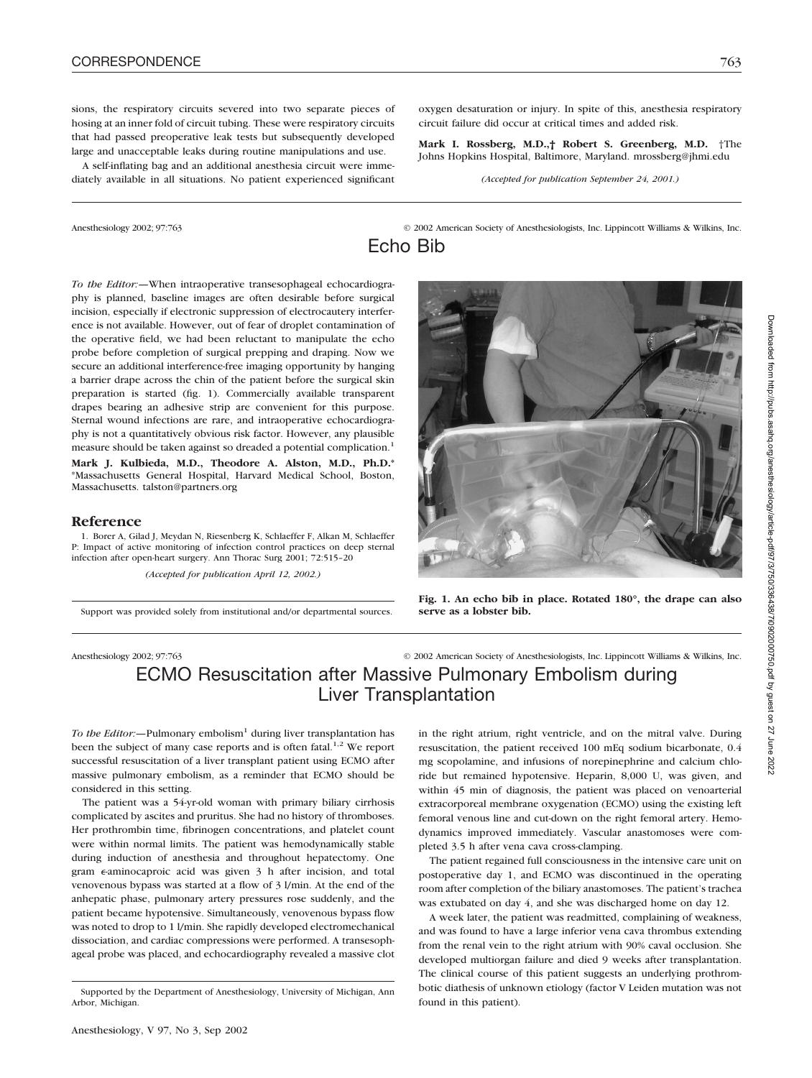sions, the respiratory circuits severed into two separate pieces of hosing at an inner fold of circuit tubing. These were respiratory circuits that had passed preoperative leak tests but subsequently developed large and unacceptable leaks during routine manipulations and use.

A self-inflating bag and an additional anesthesia circuit were immediately available in all situations. No patient experienced significant oxygen desaturation or injury. In spite of this, anesthesia respiratory circuit failure did occur at critical times and added risk.

**Mark I. Rossberg, M.D.,† Robert S. Greenberg, M.D.** †The Johns Hopkins Hospital, Baltimore, Maryland. mrossberg@jhmi.edu

*(Accepted for publication September 24, 2001.)*

Anesthesiology 2002; 97:763 © 2002 American Society of Anesthesiologists, Inc. Lippincott Williams & Wilkins, Inc.

Echo Bib



#### **Reference**

1. Borer A, Gilad J, Meydan N, Riesenberg K, Schlaeffer F, Alkan M, Schlaeffer P: Impact of active monitoring of infection control practices on deep sternal infection after open-heart surgery. Ann Thorac Surg 2001; 72:515–20

*(Accepted for publication April 12, 2002.)*

Support was provided solely from institutional and/or departmental sources.



**Fig. 1. An echo bib in place. Rotated 180°, the drape can also serve as a lobster bib.**

Anesthesiology 2002; 97:763 © 2002 American Society of Anesthesiologists, Inc. Lippincott Williams & Wilkins, Inc.

# ECMO Resuscitation after Massive Pulmonary Embolism during Liver Transplantation

*To the Editor:*—Pulmonary embolism<sup>1</sup> during liver transplantation has been the subject of many case reports and is often fatal.<sup>1,2</sup> We report successful resuscitation of a liver transplant patient using ECMO after massive pulmonary embolism, as a reminder that ECMO should be considered in this setting.

The patient was a 54-yr-old woman with primary biliary cirrhosis complicated by ascites and pruritus. She had no history of thromboses. Her prothrombin time, fibrinogen concentrations, and platelet count were within normal limits. The patient was hemodynamically stable during induction of anesthesia and throughout hepatectomy. One gram e-aminocaproic acid was given 3 h after incision, and total venovenous bypass was started at a flow of 3 l/min. At the end of the anhepatic phase, pulmonary artery pressures rose suddenly, and the patient became hypotensive. Simultaneously, venovenous bypass flow was noted to drop to 1 l/min. She rapidly developed electromechanical dissociation, and cardiac compressions were performed. A transesophageal probe was placed, and echocardiography revealed a massive clot

in the right atrium, right ventricle, and on the mitral valve. During resuscitation, the patient received 100 mEq sodium bicarbonate, 0.4 mg scopolamine, and infusions of norepinephrine and calcium chloride but remained hypotensive. Heparin, 8,000 U, was given, and within 45 min of diagnosis, the patient was placed on venoarterial extracorporeal membrane oxygenation (ECMO) using the existing left femoral venous line and cut-down on the right femoral artery. Hemodynamics improved immediately. Vascular anastomoses were completed 3.5 h after vena cava cross-clamping.

The patient regained full consciousness in the intensive care unit on postoperative day 1, and ECMO was discontinued in the operating room after completion of the biliary anastomoses. The patient's trachea was extubated on day 4, and she was discharged home on day 12.

A week later, the patient was readmitted, complaining of weakness, and was found to have a large inferior vena cava thrombus extending from the renal vein to the right atrium with 90% caval occlusion. She developed multiorgan failure and died 9 weeks after transplantation. The clinical course of this patient suggests an underlying prothrombotic diathesis of unknown etiology (factor V Leiden mutation was not found in this patient).

Supported by the Department of Anesthesiology, University of Michigan, Ann Arbor, Michigan.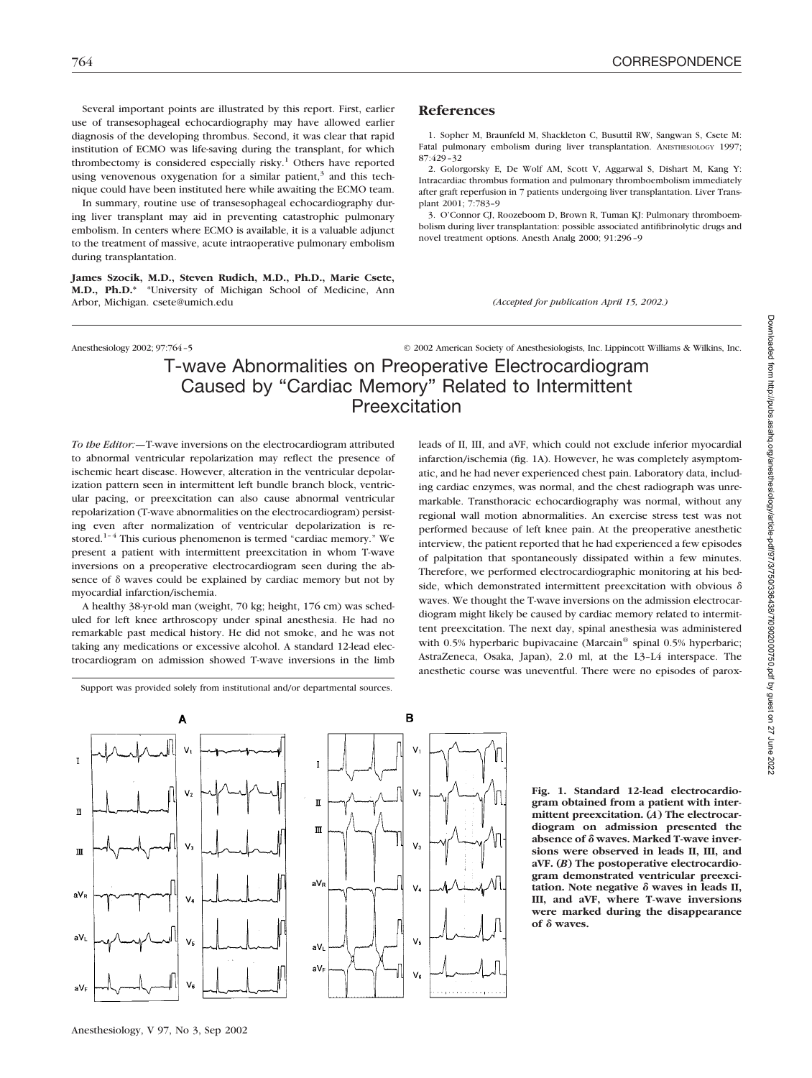Several important points are illustrated by this report. First, earlier use of transesophageal echocardiography may have allowed earlier diagnosis of the developing thrombus. Second, it was clear that rapid institution of ECMO was life-saving during the transplant, for which thrombectomy is considered especially risky.<sup>1</sup> Others have reported using venovenous oxygenation for a similar patient, $3$  and this technique could have been instituted here while awaiting the ECMO team.

In summary, routine use of transesophageal echocardiography during liver transplant may aid in preventing catastrophic pulmonary embolism. In centers where ECMO is available, it is a valuable adjunct to the treatment of massive, acute intraoperative pulmonary embolism during transplantation.

**James Szocik, M.D., Steven Rudich, M.D., Ph.D., Marie Csete, M.D., Ph.D.\*** \*University of Michigan School of Medicine, Ann Arbor, Michigan. csete@umich.edu

Anesthesiology 2002; 97:764–5 © 2002 American Society of Anesthesiologists, Inc. Lippincott Williams & Wilkins, Inc.

1. Sopher M, Braunfeld M, Shackleton C, Busuttil RW, Sangwan S, Csete M: Fatal pulmonary embolism during liver transplantation. ANESTHESIOLOGY 1997;

2. Golorgorsky E, De Wolf AM, Scott V, Aggarwal S, Dishart M, Kang Y: Intracardiac thrombus formation and pulmonary thromboembolism immediately after graft reperfusion in 7 patients undergoing liver transplantation. Liver Trans-

3. O'Connor CJ, Roozeboom D, Brown R, Tuman KJ: Pulmonary thromboembolism during liver transplantation: possible associated antifibrinolytic drugs and

*(Accepted for publication April 15, 2002.)*

novel treatment options. Anesth Analg 2000; 91:296–9

# T-wave Abnormalities on Preoperative Electrocardiogram Caused by "Cardiac Memory" Related to Intermittent Preexcitation

 $V_6$ 

**References**

plant 2001; 7:783–9

87:429–32

*To the Editor:—*T-wave inversions on the electrocardiogram attributed to abnormal ventricular repolarization may reflect the presence of ischemic heart disease. However, alteration in the ventricular depolarization pattern seen in intermittent left bundle branch block, ventricular pacing, or preexcitation can also cause abnormal ventricular repolarization (T-wave abnormalities on the electrocardiogram) persisting even after normalization of ventricular depolarization is restored.<sup>1-4</sup> This curious phenomenon is termed "cardiac memory." We present a patient with intermittent preexcitation in whom T-wave inversions on a preoperative electrocardiogram seen during the absence of  $\delta$  waves could be explained by cardiac memory but not by myocardial infarction/ischemia.

A healthy 38-yr-old man (weight, 70 kg; height, 176 cm) was scheduled for left knee arthroscopy under spinal anesthesia. He had no remarkable past medical history. He did not smoke, and he was not taking any medications or excessive alcohol. A standard 12-lead electrocardiogram on admission showed T-wave inversions in the limb

leads of II, III, and aVF, which could not exclude inferior myocardial infarction/ischemia (fig. 1A). However, he was completely asymptomatic, and he had never experienced chest pain. Laboratory data, including cardiac enzymes, was normal, and the chest radiograph was unremarkable. Transthoracic echocardiography was normal, without any regional wall motion abnormalities. An exercise stress test was not performed because of left knee pain. At the preoperative anesthetic interview, the patient reported that he had experienced a few episodes of palpitation that spontaneously dissipated within a few minutes. Therefore, we performed electrocardiographic monitoring at his bedside, which demonstrated intermittent preexcitation with obvious  $\delta$ waves. We thought the T-wave inversions on the admission electrocardiogram might likely be caused by cardiac memory related to intermittent preexcitation. The next day, spinal anesthesia was administered with 0.5% hyperbaric bupivacaine (Marcain® spinal 0.5% hyperbaric; AstraZeneca, Osaka, Japan), 2.0 ml, at the L3–L4 interspace. The anesthetic course was uneventful. There were no episodes of parox-



**Fig. 1. Standard 12-lead electrocardiogram obtained from a patient with intermittent preexcitation. (***A***) The electrocardiogram on admission presented the absence of waves. Marked T-wave inversions were observed in leads II, III, and aVF. (***B***) The postoperative electrocardiogram demonstrated ventricular preexci**tation. Note negative  $\delta$  waves in leads II, **III, and aVF, where T-wave inversions were marked during the disappearance of waves.**

I

m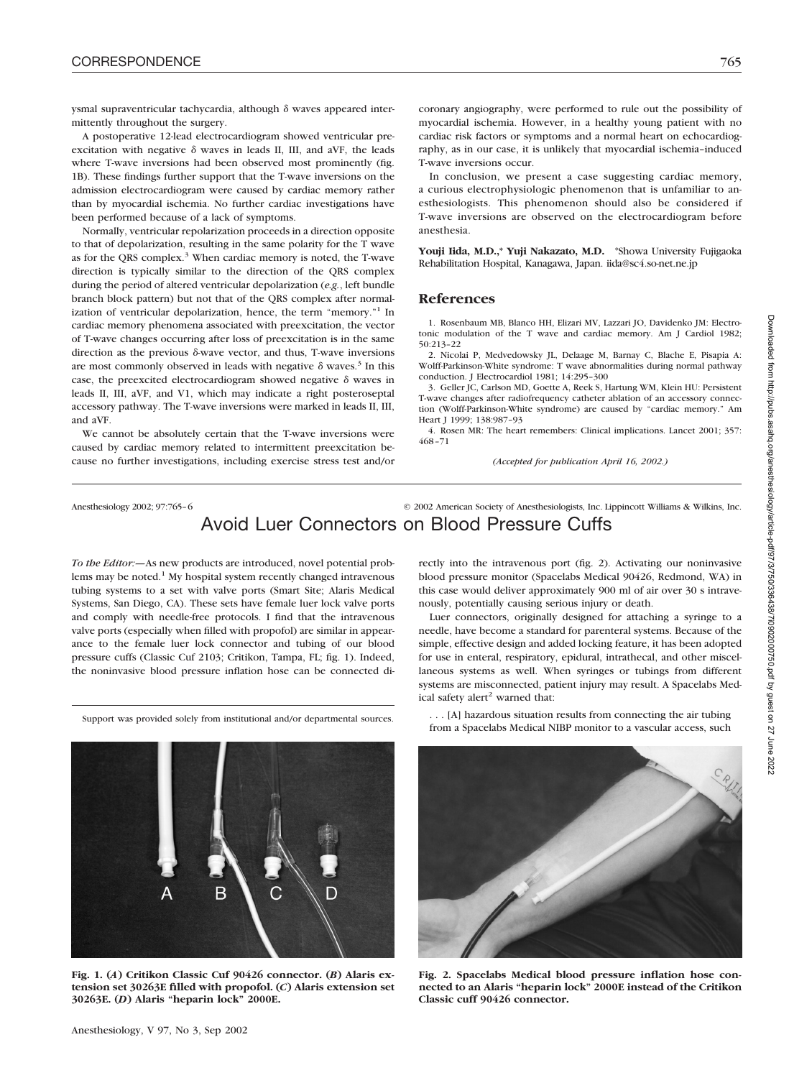ysmal supraventricular tachycardia, although  $\delta$  waves appeared intermittently throughout the surgery.

A postoperative 12-lead electrocardiogram showed ventricular preexcitation with negative  $\delta$  waves in leads II, III, and aVF, the leads where T-wave inversions had been observed most prominently (fig. 1B). These findings further support that the T-wave inversions on the admission electrocardiogram were caused by cardiac memory rather than by myocardial ischemia. No further cardiac investigations have been performed because of a lack of symptoms.

Normally, ventricular repolarization proceeds in a direction opposite to that of depolarization, resulting in the same polarity for the T wave as for the QRS complex.<sup>3</sup> When cardiac memory is noted, the T-wave direction is typically similar to the direction of the QRS complex during the period of altered ventricular depolarization (*e.g.*, left bundle branch block pattern) but not that of the QRS complex after normalization of ventricular depolarization, hence, the term "memory."<sup>1</sup> In cardiac memory phenomena associated with preexcitation, the vector of T-wave changes occurring after loss of preexcitation is in the same direction as the previous  $\delta$ -wave vector, and thus, T-wave inversions are most commonly observed in leads with negative  $\delta$  waves.<sup>3</sup> In this case, the preexcited electrocardiogram showed negative  $\delta$  waves in leads II, III, aVF, and V1, which may indicate a right posteroseptal accessory pathway. The T-wave inversions were marked in leads II, III, and aVF.

We cannot be absolutely certain that the T-wave inversions were caused by cardiac memory related to intermittent preexcitation because no further investigations, including exercise stress test and/or coronary angiography, were performed to rule out the possibility of myocardial ischemia. However, in a healthy young patient with no cardiac risk factors or symptoms and a normal heart on echocardiography, as in our case, it is unlikely that myocardial ischemia–induced T-wave inversions occur.

In conclusion, we present a case suggesting cardiac memory, a curious electrophysiologic phenomenon that is unfamiliar to anesthesiologists. This phenomenon should also be considered if T-wave inversions are observed on the electrocardiogram before anesthesia.

**Youji Iida, M.D.,\* Yuji Nakazato, M.D.** \*Showa University Fujigaoka Rehabilitation Hospital, Kanagawa, Japan. iida@sc4.so-net.ne.jp

### **References**

1. Rosenbaum MB, Blanco HH, Elizari MV, Lazzari JO, Davidenko JM: Electrotonic modulation of the T wave and cardiac memory. Am J Cardiol 1982; 50:213–22

2. Nicolai P, Medvedowsky JL, Delaage M, Barnay C, Blache E, Pisapia A: Wolff-Parkinson-White syndrome: T wave abnormalities during normal pathway conduction. J Electrocardiol 1981; 14:295–300

3. Geller JC, Carlson MD, Goette A, Reek S, Hartung WM, Klein HU: Persistent T-wave changes after radiofrequency catheter ablation of an accessory connection (Wolff-Parkinson-White syndrome) are caused by "cardiac memory." Am Heart J 1999; 138:987–93

4. Rosen MR: The heart remembers: Clinical implications. Lancet 2001; 357: 468–71

*(Accepted for publication April 16, 2002.)*

Anesthesiology 2002; 97:765–6 © 2002 American Society of Anesthesiologists, Inc. Lippincott Williams & Wilkins, Inc.

# Avoid Luer Connectors on Blood Pressure Cuffs

*To the Editor:—*As new products are introduced, novel potential problems may be noted.<sup>1</sup> My hospital system recently changed intravenous tubing systems to a set with valve ports (Smart Site; Alaris Medical Systems, San Diego, CA). These sets have female luer lock valve ports and comply with needle-free protocols. I find that the intravenous valve ports (especially when filled with propofol) are similar in appearance to the female luer lock connector and tubing of our blood pressure cuffs (Classic Cuf 2103; Critikon, Tampa, FL; fig. 1). Indeed, the noninvasive blood pressure inflation hose can be connected directly into the intravenous port (fig. 2). Activating our noninvasive blood pressure monitor (Spacelabs Medical 90426, Redmond, WA) in this case would deliver approximately 900 ml of air over 30 s intravenously, potentially causing serious injury or death.

Luer connectors, originally designed for attaching a syringe to a needle, have become a standard for parenteral systems. Because of the simple, effective design and added locking feature, it has been adopted for use in enteral, respiratory, epidural, intrathecal, and other miscellaneous systems as well. When syringes or tubings from different systems are misconnected, patient injury may result. A Spacelabs Medical safety alert<sup>2</sup> warned that:

Support was provided solely from institutional and/or departmental sources.

. . . [A] hazardous situation results from connecting the air tubing from a Spacelabs Medical NIBP monitor to a vascular access, such



**Fig. 1. (***A***) Critikon Classic Cuf 90426 connector. (***B***) Alaris extension set 30263E filled with propofol. (***C***) Alaris extension set 30263E. (***D***) Alaris "heparin lock" 2000E.**